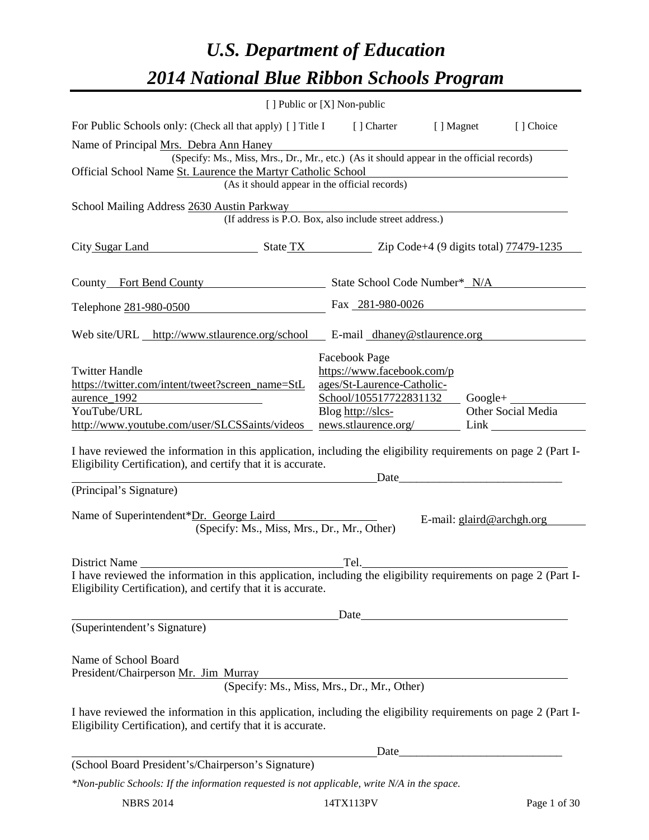# *U.S. Department of Education 2014 National Blue Ribbon Schools Program*

|                                                                                                                                                                                                                                                | [ ] Public or [X] Non-public                                                                                                                               |                           |                                                                                                                                                                                                                                                     |
|------------------------------------------------------------------------------------------------------------------------------------------------------------------------------------------------------------------------------------------------|------------------------------------------------------------------------------------------------------------------------------------------------------------|---------------------------|-----------------------------------------------------------------------------------------------------------------------------------------------------------------------------------------------------------------------------------------------------|
| For Public Schools only: (Check all that apply) [] Title I [] Charter [] Magnet                                                                                                                                                                |                                                                                                                                                            |                           | [] Choice                                                                                                                                                                                                                                           |
| Name of Principal Mrs. Debra Ann Haney<br>Official School Name St. Laurence the Martyr Catholic School                                                                                                                                         | (Specify: Ms., Miss, Mrs., Dr., Mr., etc.) (As it should appear in the official records)<br>(As it should appear in the official records)                  |                           |                                                                                                                                                                                                                                                     |
| School Mailing Address 2630 Austin Parkway                                                                                                                                                                                                     | (If address is P.O. Box, also include street address.)                                                                                                     |                           |                                                                                                                                                                                                                                                     |
| City Sugar Land State TX State TX Zip Code+4 (9 digits total) 77479-1235                                                                                                                                                                       |                                                                                                                                                            |                           |                                                                                                                                                                                                                                                     |
| County Fort Bend County State School Code Number* N/A                                                                                                                                                                                          |                                                                                                                                                            |                           |                                                                                                                                                                                                                                                     |
| Telephone 281-980-0500                                                                                                                                                                                                                         | Fax 281-980-0026                                                                                                                                           |                           |                                                                                                                                                                                                                                                     |
| Web site/URL http://www.stlaurence.org/school E-mail dhaney@stlaurence.org                                                                                                                                                                     |                                                                                                                                                            |                           |                                                                                                                                                                                                                                                     |
| <b>Twitter Handle</b><br>https://twitter.com/intent/tweet?screen_name=StL<br>aurence 1992<br>YouTube/URL<br>http://www.youtube.com/user/SLCSSaints/videos                                                                                      | Facebook Page<br>https://www.facebook.com/p<br>ages/St-Laurence-Catholic-<br>$School/105517722831132$ Google+<br>Blog http://slcs-<br>news.stlaurence.org/ |                           | Other Social Media<br>Link and the same state of the state of the state of the state of the state of the state of the state of the state of the state of the state of the state of the state of the state of the state of the state of the state of |
| I have reviewed the information in this application, including the eligibility requirements on page 2 (Part I-<br>Eligibility Certification), and certify that it is accurate.                                                                 | Date                                                                                                                                                       |                           |                                                                                                                                                                                                                                                     |
| (Principal's Signature)                                                                                                                                                                                                                        |                                                                                                                                                            |                           |                                                                                                                                                                                                                                                     |
| Name of Superintendent*Dr. George Laird                                                                                                                                                                                                        | (Specify: Ms., Miss, Mrs., Dr., Mr., Other)                                                                                                                | E-mail: glaird@archgh.org |                                                                                                                                                                                                                                                     |
| District Name<br>I have reviewed the information in this application, including the eligibility requirements on page 2 (Part I-<br>Eligibility Certification), and certify that it is accurate.                                                | Tel.                                                                                                                                                       |                           |                                                                                                                                                                                                                                                     |
| (Superintendent's Signature)                                                                                                                                                                                                                   |                                                                                                                                                            |                           |                                                                                                                                                                                                                                                     |
| Name of School Board<br>President/Chairperson Mr. Jim Murray<br>I have reviewed the information in this application, including the eligibility requirements on page 2 (Part I-<br>Eligibility Certification), and certify that it is accurate. | (Specify: Ms., Miss, Mrs., Dr., Mr., Other)                                                                                                                |                           |                                                                                                                                                                                                                                                     |
|                                                                                                                                                                                                                                                | Date                                                                                                                                                       |                           | <u> 1989 - Johann John Stone, mars eta biztanleria (</u>                                                                                                                                                                                            |
| (School Board President's/Chairperson's Signature)                                                                                                                                                                                             |                                                                                                                                                            |                           |                                                                                                                                                                                                                                                     |
| *Non-public Schools: If the information requested is not applicable, write N/A in the space.                                                                                                                                                   |                                                                                                                                                            |                           |                                                                                                                                                                                                                                                     |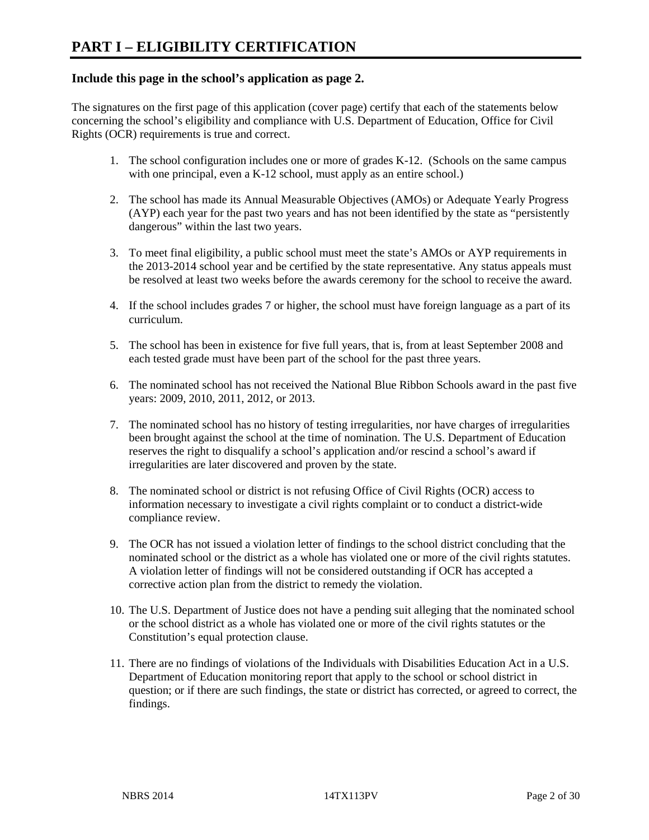# **Include this page in the school's application as page 2.**

The signatures on the first page of this application (cover page) certify that each of the statements below concerning the school's eligibility and compliance with U.S. Department of Education, Office for Civil Rights (OCR) requirements is true and correct.

- 1. The school configuration includes one or more of grades K-12. (Schools on the same campus with one principal, even a K-12 school, must apply as an entire school.)
- 2. The school has made its Annual Measurable Objectives (AMOs) or Adequate Yearly Progress (AYP) each year for the past two years and has not been identified by the state as "persistently dangerous" within the last two years.
- 3. To meet final eligibility, a public school must meet the state's AMOs or AYP requirements in the 2013-2014 school year and be certified by the state representative. Any status appeals must be resolved at least two weeks before the awards ceremony for the school to receive the award.
- 4. If the school includes grades 7 or higher, the school must have foreign language as a part of its curriculum.
- 5. The school has been in existence for five full years, that is, from at least September 2008 and each tested grade must have been part of the school for the past three years.
- 6. The nominated school has not received the National Blue Ribbon Schools award in the past five years: 2009, 2010, 2011, 2012, or 2013.
- 7. The nominated school has no history of testing irregularities, nor have charges of irregularities been brought against the school at the time of nomination. The U.S. Department of Education reserves the right to disqualify a school's application and/or rescind a school's award if irregularities are later discovered and proven by the state.
- 8. The nominated school or district is not refusing Office of Civil Rights (OCR) access to information necessary to investigate a civil rights complaint or to conduct a district-wide compliance review.
- 9. The OCR has not issued a violation letter of findings to the school district concluding that the nominated school or the district as a whole has violated one or more of the civil rights statutes. A violation letter of findings will not be considered outstanding if OCR has accepted a corrective action plan from the district to remedy the violation.
- 10. The U.S. Department of Justice does not have a pending suit alleging that the nominated school or the school district as a whole has violated one or more of the civil rights statutes or the Constitution's equal protection clause.
- 11. There are no findings of violations of the Individuals with Disabilities Education Act in a U.S. Department of Education monitoring report that apply to the school or school district in question; or if there are such findings, the state or district has corrected, or agreed to correct, the findings.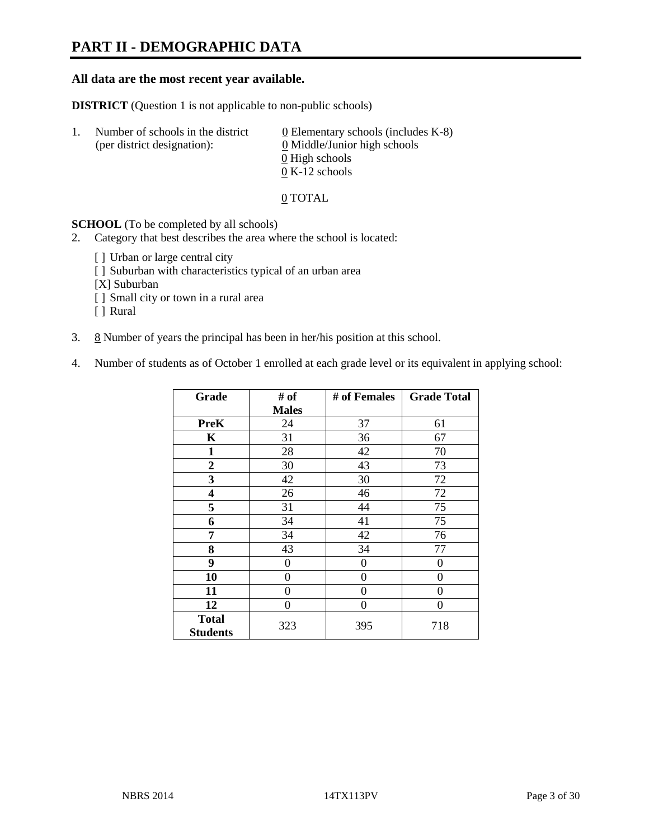# **PART II - DEMOGRAPHIC DATA**

### **All data are the most recent year available.**

**DISTRICT** (Question 1 is not applicable to non-public schools)

| -1. | Number of schools in the district<br>(per district designation): | 0 Elementary schools (includes $K-8$ )<br>0 Middle/Junior high schools |
|-----|------------------------------------------------------------------|------------------------------------------------------------------------|
|     |                                                                  | 0 High schools                                                         |
|     |                                                                  | $0 K-12$ schools                                                       |

#### 0 TOTAL

#### **SCHOOL** (To be completed by all schools)

- 2. Category that best describes the area where the school is located:
	- [] Urban or large central city
	- [] Suburban with characteristics typical of an urban area
	- [X] Suburban
	- [ ] Small city or town in a rural area
	- [ ] Rural
- 3.  $8$  Number of years the principal has been in her/his position at this school.
- 4. Number of students as of October 1 enrolled at each grade level or its equivalent in applying school:

| Grade           | # of         | # of Females | <b>Grade Total</b> |
|-----------------|--------------|--------------|--------------------|
|                 | <b>Males</b> |              |                    |
| <b>PreK</b>     | 24           | 37           | 61                 |
| K               | 31           | 36           | 67                 |
| $\mathbf{1}$    | 28           | 42           | 70                 |
| $\overline{2}$  | 30           | 43           | 73                 |
| 3               | 42           | 30           | 72                 |
| 4               | 26           | 46           | 72                 |
| 5               | 31           | 44           | 75                 |
| 6               | 34           | 41           | 75                 |
| 7               | 34           | 42           | 76                 |
| 8               | 43           | 34           | 77                 |
| 9               | 0            | 0            | 0                  |
| 10              | $\theta$     | 0            | 0                  |
| 11              | 0            | $\theta$     | 0                  |
| 12              | $\theta$     | $\theta$     | 0                  |
| <b>Total</b>    | 323          | 395          | 718                |
| <b>Students</b> |              |              |                    |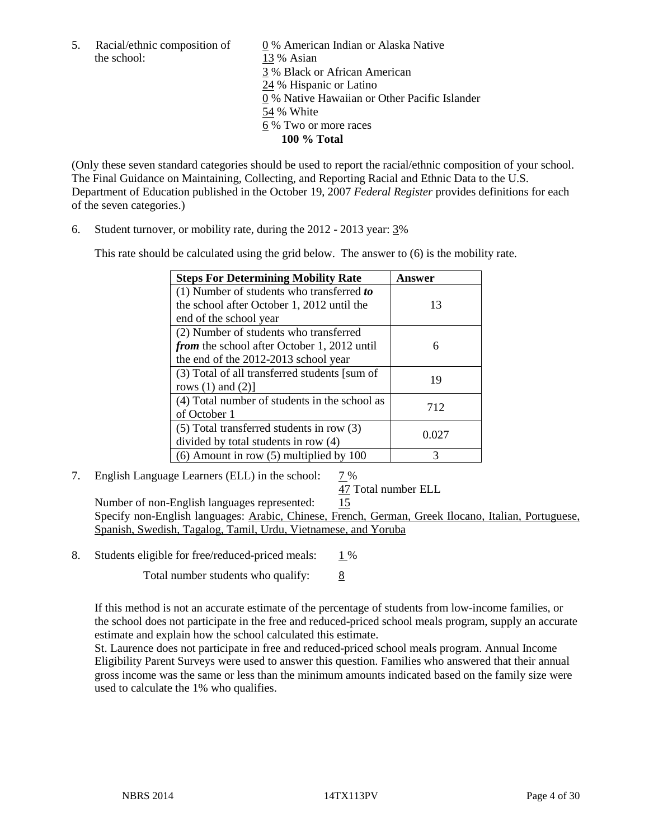the school: 13 % Asian

5. Racial/ethnic composition of 0 % American Indian or Alaska Native 3 % Black or African American 24 % Hispanic or Latino 0 % Native Hawaiian or Other Pacific Islander 54 % White 6 % Two or more races **100 % Total** 

(Only these seven standard categories should be used to report the racial/ethnic composition of your school. The Final Guidance on Maintaining, Collecting, and Reporting Racial and Ethnic Data to the U.S. Department of Education published in the October 19, 2007 *Federal Register* provides definitions for each of the seven categories.)

6. Student turnover, or mobility rate, during the 2012 - 2013 year: 3%

This rate should be calculated using the grid below. The answer to (6) is the mobility rate.

| <b>Steps For Determining Mobility Rate</b>         | Answer |
|----------------------------------------------------|--------|
| $(1)$ Number of students who transferred to        |        |
| the school after October 1, 2012 until the         | 13     |
| end of the school year                             |        |
| (2) Number of students who transferred             |        |
| <i>from</i> the school after October 1, 2012 until | 6      |
| the end of the 2012-2013 school year               |        |
| (3) Total of all transferred students [sum of      | 19     |
| rows $(1)$ and $(2)$ ]                             |        |
| (4) Total number of students in the school as      | 712    |
| of October 1                                       |        |
| $(5)$ Total transferred students in row $(3)$      | 0.027  |
| divided by total students in row (4)               |        |
| $(6)$ Amount in row $(5)$ multiplied by 100        | 3      |

7. English Language Learners (ELL) in the school: 7 %

47 Total number ELL

 Number of non-English languages represented: 15 Specify non-English languages: Arabic, Chinese, French, German, Greek Ilocano, Italian, Portuguese, Spanish, Swedish, Tagalog, Tamil, Urdu, Vietnamese, and Yoruba

8. Students eligible for free/reduced-priced meals:  $1\%$ 

Total number students who qualify:  $\frac{8}{8}$ 

If this method is not an accurate estimate of the percentage of students from low-income families, or the school does not participate in the free and reduced-priced school meals program, supply an accurate estimate and explain how the school calculated this estimate.

St. Laurence does not participate in free and reduced-priced school meals program. Annual Income Eligibility Parent Surveys were used to answer this question. Families who answered that their annual gross income was the same or less than the minimum amounts indicated based on the family size were used to calculate the 1% who qualifies.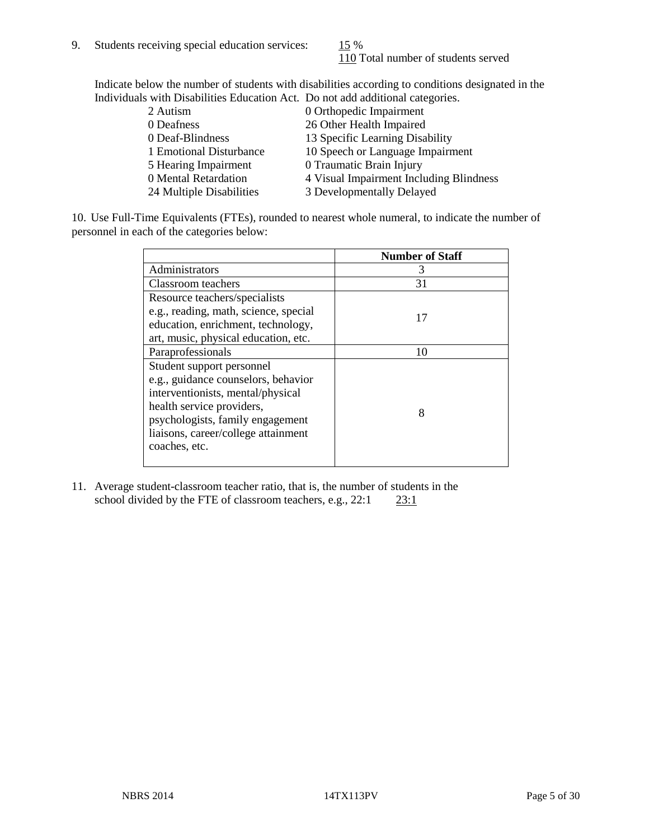110 Total number of students served

Indicate below the number of students with disabilities according to conditions designated in the Individuals with Disabilities Education Act. Do not add additional categories.

| THE RESIDENCE IN THE RESIDENCE INTERVERSION CONTRACTS TO A REFORM AND ANOTHER AND MOVED AND RESIDENCE. |                                         |
|--------------------------------------------------------------------------------------------------------|-----------------------------------------|
| 2 Autism                                                                                               | 0 Orthopedic Impairment                 |
| 0 Deafness                                                                                             | 26 Other Health Impaired                |
| 0 Deaf-Blindness                                                                                       | 13 Specific Learning Disability         |
| 1 Emotional Disturbance                                                                                | 10 Speech or Language Impairment        |
| 5 Hearing Impairment                                                                                   | 0 Traumatic Brain Injury                |
| 0 Mental Retardation                                                                                   | 4 Visual Impairment Including Blindness |
| 24 Multiple Disabilities                                                                               | 3 Developmentally Delayed               |
|                                                                                                        |                                         |

10. Use Full-Time Equivalents (FTEs), rounded to nearest whole numeral, to indicate the number of personnel in each of the categories below:

|                                       | <b>Number of Staff</b> |
|---------------------------------------|------------------------|
| Administrators                        |                        |
| Classroom teachers                    | 31                     |
| Resource teachers/specialists         |                        |
| e.g., reading, math, science, special | 17                     |
| education, enrichment, technology,    |                        |
| art, music, physical education, etc.  |                        |
| Paraprofessionals                     | 10                     |
| Student support personnel             |                        |
| e.g., guidance counselors, behavior   |                        |
| interventionists, mental/physical     |                        |
| health service providers,             | 8                      |
| psychologists, family engagement      |                        |
| liaisons, career/college attainment   |                        |
| coaches, etc.                         |                        |
|                                       |                        |

11. Average student-classroom teacher ratio, that is, the number of students in the school divided by the FTE of classroom teachers, e.g.,  $22:1$   $23:1$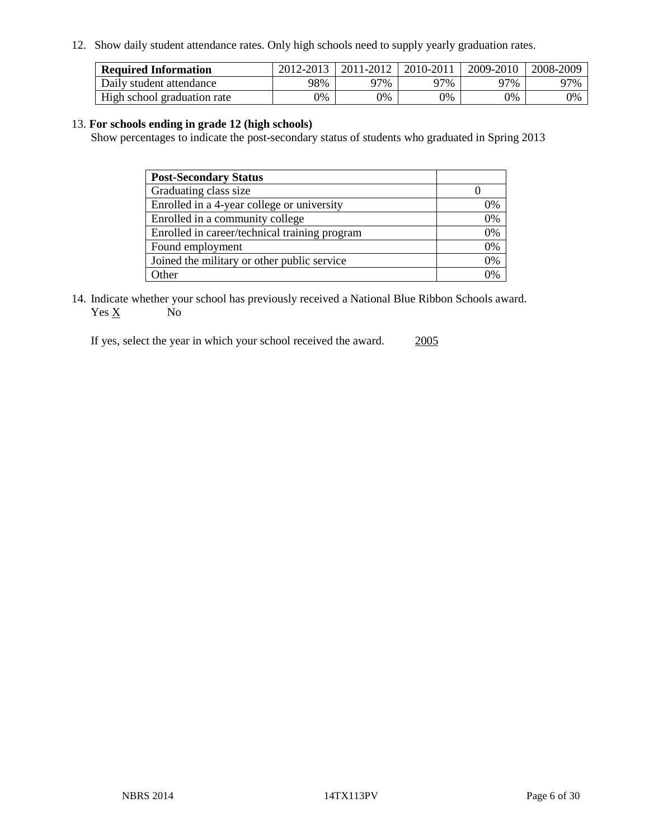12. Show daily student attendance rates. Only high schools need to supply yearly graduation rates.

| <b>Required Information</b> | 2012-2013 | 2011-2012 | 2010-2011 | 2009-2010 | 2008-2009 |
|-----------------------------|-----------|-----------|-----------|-----------|-----------|
| Daily student attendance    | 98%       | 97%       | 97%       | 97%       | 97%       |
| High school graduation rate | 0%        | 0%        | 0%        | 0%        | 0%        |

#### 13. **For schools ending in grade 12 (high schools)**

Show percentages to indicate the post-secondary status of students who graduated in Spring 2013

| <b>Post-Secondary Status</b>                  |    |
|-----------------------------------------------|----|
| Graduating class size                         |    |
| Enrolled in a 4-year college or university    | 0% |
| Enrolled in a community college               | 0% |
| Enrolled in career/technical training program | 0% |
| Found employment                              | 0% |
| Joined the military or other public service   | 0% |
| .)ther                                        | ገ% |

14. Indicate whether your school has previously received a National Blue Ribbon Schools award.  $Yes \underline{X}$  No

If yes, select the year in which your school received the award. 2005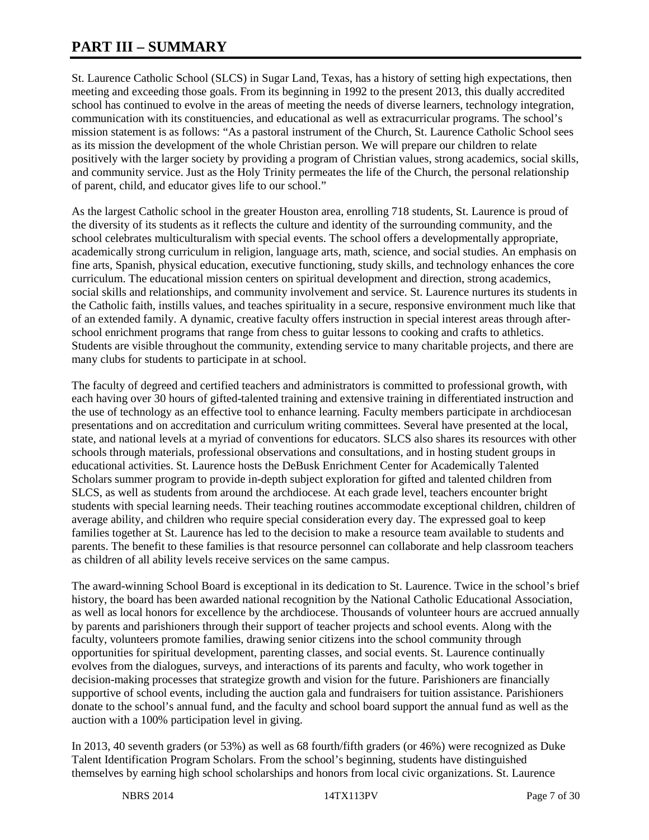# **PART III – SUMMARY**

St. Laurence Catholic School (SLCS) in Sugar Land, Texas, has a history of setting high expectations, then meeting and exceeding those goals. From its beginning in 1992 to the present 2013, this dually accredited school has continued to evolve in the areas of meeting the needs of diverse learners, technology integration, communication with its constituencies, and educational as well as extracurricular programs. The school's mission statement is as follows: "As a pastoral instrument of the Church, St. Laurence Catholic School sees as its mission the development of the whole Christian person. We will prepare our children to relate positively with the larger society by providing a program of Christian values, strong academics, social skills, and community service. Just as the Holy Trinity permeates the life of the Church, the personal relationship of parent, child, and educator gives life to our school."

As the largest Catholic school in the greater Houston area, enrolling 718 students, St. Laurence is proud of the diversity of its students as it reflects the culture and identity of the surrounding community, and the school celebrates multiculturalism with special events. The school offers a developmentally appropriate, academically strong curriculum in religion, language arts, math, science, and social studies. An emphasis on fine arts, Spanish, physical education, executive functioning, study skills, and technology enhances the core curriculum. The educational mission centers on spiritual development and direction, strong academics, social skills and relationships, and community involvement and service. St. Laurence nurtures its students in the Catholic faith, instills values, and teaches spirituality in a secure, responsive environment much like that of an extended family. A dynamic, creative faculty offers instruction in special interest areas through afterschool enrichment programs that range from chess to guitar lessons to cooking and crafts to athletics. Students are visible throughout the community, extending service to many charitable projects, and there are many clubs for students to participate in at school.

The faculty of degreed and certified teachers and administrators is committed to professional growth, with each having over 30 hours of gifted-talented training and extensive training in differentiated instruction and the use of technology as an effective tool to enhance learning. Faculty members participate in archdiocesan presentations and on accreditation and curriculum writing committees. Several have presented at the local, state, and national levels at a myriad of conventions for educators. SLCS also shares its resources with other schools through materials, professional observations and consultations, and in hosting student groups in educational activities. St. Laurence hosts the DeBusk Enrichment Center for Academically Talented Scholars summer program to provide in-depth subject exploration for gifted and talented children from SLCS, as well as students from around the archdiocese. At each grade level, teachers encounter bright students with special learning needs. Their teaching routines accommodate exceptional children, children of average ability, and children who require special consideration every day. The expressed goal to keep families together at St. Laurence has led to the decision to make a resource team available to students and parents. The benefit to these families is that resource personnel can collaborate and help classroom teachers as children of all ability levels receive services on the same campus.

The award-winning School Board is exceptional in its dedication to St. Laurence. Twice in the school's brief history, the board has been awarded national recognition by the National Catholic Educational Association, as well as local honors for excellence by the archdiocese. Thousands of volunteer hours are accrued annually by parents and parishioners through their support of teacher projects and school events. Along with the faculty, volunteers promote families, drawing senior citizens into the school community through opportunities for spiritual development, parenting classes, and social events. St. Laurence continually evolves from the dialogues, surveys, and interactions of its parents and faculty, who work together in decision-making processes that strategize growth and vision for the future. Parishioners are financially supportive of school events, including the auction gala and fundraisers for tuition assistance. Parishioners donate to the school's annual fund, and the faculty and school board support the annual fund as well as the auction with a 100% participation level in giving.

In 2013, 40 seventh graders (or 53%) as well as 68 fourth/fifth graders (or 46%) were recognized as Duke Talent Identification Program Scholars. From the school's beginning, students have distinguished themselves by earning high school scholarships and honors from local civic organizations. St. Laurence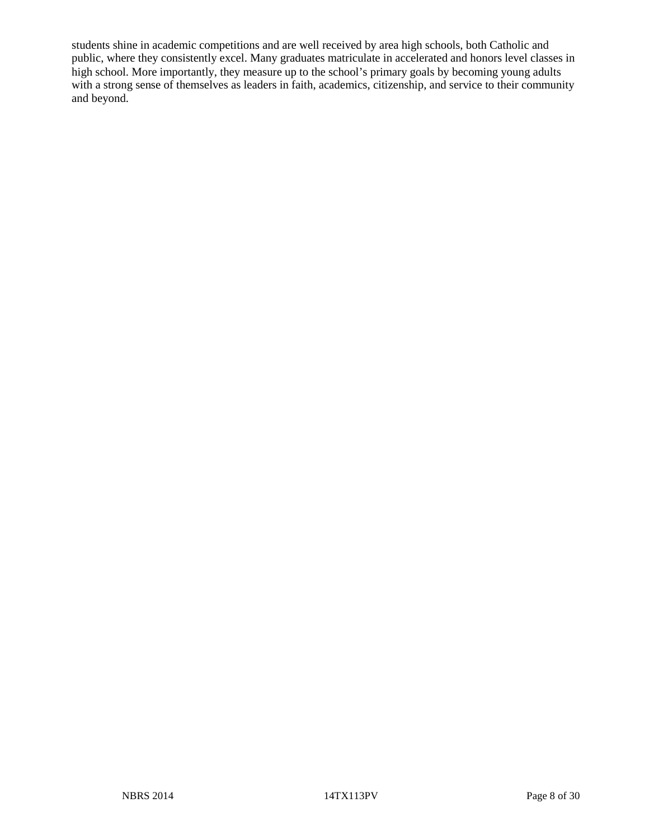students shine in academic competitions and are well received by area high schools, both Catholic and public, where they consistently excel. Many graduates matriculate in accelerated and honors level classes in high school. More importantly, they measure up to the school's primary goals by becoming young adults with a strong sense of themselves as leaders in faith, academics, citizenship, and service to their community and beyond.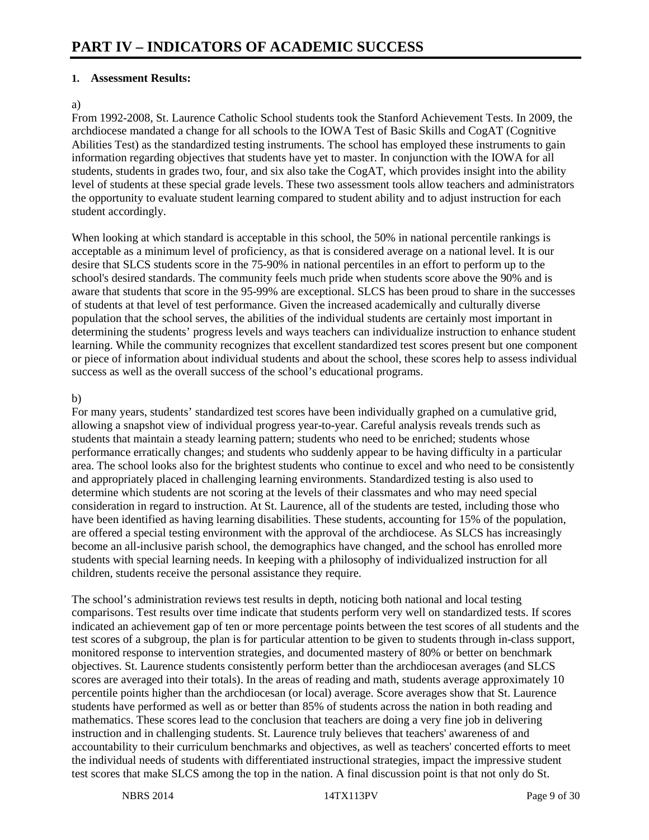### **1. Assessment Results:**

#### a)

From 1992-2008, St. Laurence Catholic School students took the Stanford Achievement Tests. In 2009, the archdiocese mandated a change for all schools to the IOWA Test of Basic Skills and CogAT (Cognitive Abilities Test) as the standardized testing instruments. The school has employed these instruments to gain information regarding objectives that students have yet to master. In conjunction with the IOWA for all students, students in grades two, four, and six also take the CogAT, which provides insight into the ability level of students at these special grade levels. These two assessment tools allow teachers and administrators the opportunity to evaluate student learning compared to student ability and to adjust instruction for each student accordingly.

When looking at which standard is acceptable in this school, the 50% in national percentile rankings is acceptable as a minimum level of proficiency, as that is considered average on a national level. It is our desire that SLCS students score in the 75-90% in national percentiles in an effort to perform up to the school's desired standards. The community feels much pride when students score above the 90% and is aware that students that score in the 95-99% are exceptional. SLCS has been proud to share in the successes of students at that level of test performance. Given the increased academically and culturally diverse population that the school serves, the abilities of the individual students are certainly most important in determining the students' progress levels and ways teachers can individualize instruction to enhance student learning. While the community recognizes that excellent standardized test scores present but one component or piece of information about individual students and about the school, these scores help to assess individual success as well as the overall success of the school's educational programs.

#### b)

For many years, students' standardized test scores have been individually graphed on a cumulative grid, allowing a snapshot view of individual progress year-to-year. Careful analysis reveals trends such as students that maintain a steady learning pattern; students who need to be enriched; students whose performance erratically changes; and students who suddenly appear to be having difficulty in a particular area. The school looks also for the brightest students who continue to excel and who need to be consistently and appropriately placed in challenging learning environments. Standardized testing is also used to determine which students are not scoring at the levels of their classmates and who may need special consideration in regard to instruction. At St. Laurence, all of the students are tested, including those who have been identified as having learning disabilities. These students, accounting for 15% of the population, are offered a special testing environment with the approval of the archdiocese. As SLCS has increasingly become an all-inclusive parish school, the demographics have changed, and the school has enrolled more students with special learning needs. In keeping with a philosophy of individualized instruction for all children, students receive the personal assistance they require.

The school's administration reviews test results in depth, noticing both national and local testing comparisons. Test results over time indicate that students perform very well on standardized tests. If scores indicated an achievement gap of ten or more percentage points between the test scores of all students and the test scores of a subgroup, the plan is for particular attention to be given to students through in-class support, monitored response to intervention strategies, and documented mastery of 80% or better on benchmark objectives. St. Laurence students consistently perform better than the archdiocesan averages (and SLCS scores are averaged into their totals). In the areas of reading and math, students average approximately 10 percentile points higher than the archdiocesan (or local) average. Score averages show that St. Laurence students have performed as well as or better than 85% of students across the nation in both reading and mathematics. These scores lead to the conclusion that teachers are doing a very fine job in delivering instruction and in challenging students. St. Laurence truly believes that teachers' awareness of and accountability to their curriculum benchmarks and objectives, as well as teachers' concerted efforts to meet the individual needs of students with differentiated instructional strategies, impact the impressive student test scores that make SLCS among the top in the nation. A final discussion point is that not only do St.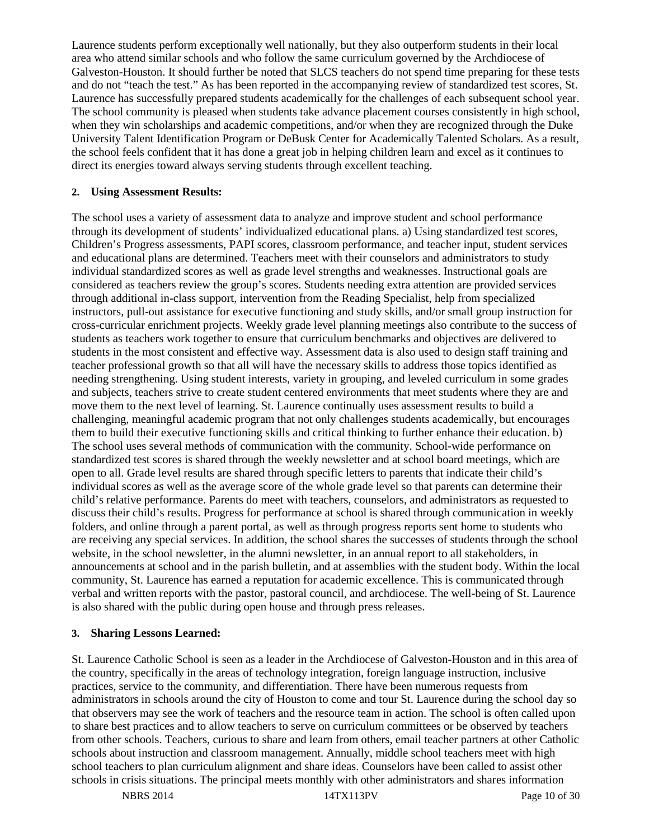Laurence students perform exceptionally well nationally, but they also outperform students in their local area who attend similar schools and who follow the same curriculum governed by the Archdiocese of Galveston-Houston. It should further be noted that SLCS teachers do not spend time preparing for these tests and do not "teach the test." As has been reported in the accompanying review of standardized test scores, St. Laurence has successfully prepared students academically for the challenges of each subsequent school year. The school community is pleased when students take advance placement courses consistently in high school, when they win scholarships and academic competitions, and/or when they are recognized through the Duke University Talent Identification Program or DeBusk Center for Academically Talented Scholars. As a result, the school feels confident that it has done a great job in helping children learn and excel as it continues to direct its energies toward always serving students through excellent teaching.

### **2. Using Assessment Results:**

The school uses a variety of assessment data to analyze and improve student and school performance through its development of students' individualized educational plans. a) Using standardized test scores, Children's Progress assessments, PAPI scores, classroom performance, and teacher input, student services and educational plans are determined. Teachers meet with their counselors and administrators to study individual standardized scores as well as grade level strengths and weaknesses. Instructional goals are considered as teachers review the group's scores. Students needing extra attention are provided services through additional in-class support, intervention from the Reading Specialist, help from specialized instructors, pull-out assistance for executive functioning and study skills, and/or small group instruction for cross-curricular enrichment projects. Weekly grade level planning meetings also contribute to the success of students as teachers work together to ensure that curriculum benchmarks and objectives are delivered to students in the most consistent and effective way. Assessment data is also used to design staff training and teacher professional growth so that all will have the necessary skills to address those topics identified as needing strengthening. Using student interests, variety in grouping, and leveled curriculum in some grades and subjects, teachers strive to create student centered environments that meet students where they are and move them to the next level of learning. St. Laurence continually uses assessment results to build a challenging, meaningful academic program that not only challenges students academically, but encourages them to build their executive functioning skills and critical thinking to further enhance their education. b) The school uses several methods of communication with the community. School-wide performance on standardized test scores is shared through the weekly newsletter and at school board meetings, which are open to all. Grade level results are shared through specific letters to parents that indicate their child's individual scores as well as the average score of the whole grade level so that parents can determine their child's relative performance. Parents do meet with teachers, counselors, and administrators as requested to discuss their child's results. Progress for performance at school is shared through communication in weekly folders, and online through a parent portal, as well as through progress reports sent home to students who are receiving any special services. In addition, the school shares the successes of students through the school website, in the school newsletter, in the alumni newsletter, in an annual report to all stakeholders, in announcements at school and in the parish bulletin, and at assemblies with the student body. Within the local community, St. Laurence has earned a reputation for academic excellence. This is communicated through verbal and written reports with the pastor, pastoral council, and archdiocese. The well-being of St. Laurence is also shared with the public during open house and through press releases.

#### **3. Sharing Lessons Learned:**

St. Laurence Catholic School is seen as a leader in the Archdiocese of Galveston-Houston and in this area of the country, specifically in the areas of technology integration, foreign language instruction, inclusive practices, service to the community, and differentiation. There have been numerous requests from administrators in schools around the city of Houston to come and tour St. Laurence during the school day so that observers may see the work of teachers and the resource team in action. The school is often called upon to share best practices and to allow teachers to serve on curriculum committees or be observed by teachers from other schools. Teachers, curious to share and learn from others, email teacher partners at other Catholic schools about instruction and classroom management. Annually, middle school teachers meet with high school teachers to plan curriculum alignment and share ideas. Counselors have been called to assist other schools in crisis situations. The principal meets monthly with other administrators and shares information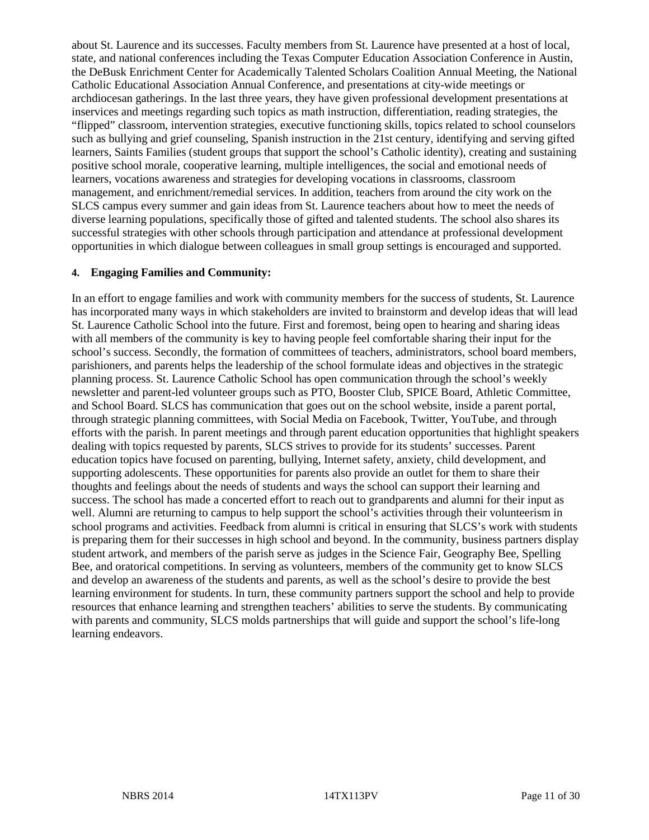about St. Laurence and its successes. Faculty members from St. Laurence have presented at a host of local, state, and national conferences including the Texas Computer Education Association Conference in Austin, the DeBusk Enrichment Center for Academically Talented Scholars Coalition Annual Meeting, the National Catholic Educational Association Annual Conference, and presentations at city-wide meetings or archdiocesan gatherings. In the last three years, they have given professional development presentations at inservices and meetings regarding such topics as math instruction, differentiation, reading strategies, the "flipped" classroom, intervention strategies, executive functioning skills, topics related to school counselors such as bullying and grief counseling, Spanish instruction in the 21st century, identifying and serving gifted learners, Saints Families (student groups that support the school's Catholic identity), creating and sustaining positive school morale, cooperative learning, multiple intelligences, the social and emotional needs of learners, vocations awareness and strategies for developing vocations in classrooms, classroom management, and enrichment/remedial services. In addition, teachers from around the city work on the SLCS campus every summer and gain ideas from St. Laurence teachers about how to meet the needs of diverse learning populations, specifically those of gifted and talented students. The school also shares its successful strategies with other schools through participation and attendance at professional development opportunities in which dialogue between colleagues in small group settings is encouraged and supported.

#### **4. Engaging Families and Community:**

In an effort to engage families and work with community members for the success of students, St. Laurence has incorporated many ways in which stakeholders are invited to brainstorm and develop ideas that will lead St. Laurence Catholic School into the future. First and foremost, being open to hearing and sharing ideas with all members of the community is key to having people feel comfortable sharing their input for the school's success. Secondly, the formation of committees of teachers, administrators, school board members, parishioners, and parents helps the leadership of the school formulate ideas and objectives in the strategic planning process. St. Laurence Catholic School has open communication through the school's weekly newsletter and parent-led volunteer groups such as PTO, Booster Club, SPICE Board, Athletic Committee, and School Board. SLCS has communication that goes out on the school website, inside a parent portal, through strategic planning committees, with Social Media on Facebook, Twitter, YouTube, and through efforts with the parish. In parent meetings and through parent education opportunities that highlight speakers dealing with topics requested by parents, SLCS strives to provide for its students' successes. Parent education topics have focused on parenting, bullying, Internet safety, anxiety, child development, and supporting adolescents. These opportunities for parents also provide an outlet for them to share their thoughts and feelings about the needs of students and ways the school can support their learning and success. The school has made a concerted effort to reach out to grandparents and alumni for their input as well. Alumni are returning to campus to help support the school's activities through their volunteerism in school programs and activities. Feedback from alumni is critical in ensuring that SLCS's work with students is preparing them for their successes in high school and beyond. In the community, business partners display student artwork, and members of the parish serve as judges in the Science Fair, Geography Bee, Spelling Bee, and oratorical competitions. In serving as volunteers, members of the community get to know SLCS and develop an awareness of the students and parents, as well as the school's desire to provide the best learning environment for students. In turn, these community partners support the school and help to provide resources that enhance learning and strengthen teachers' abilities to serve the students. By communicating with parents and community, SLCS molds partnerships that will guide and support the school's life-long learning endeavors.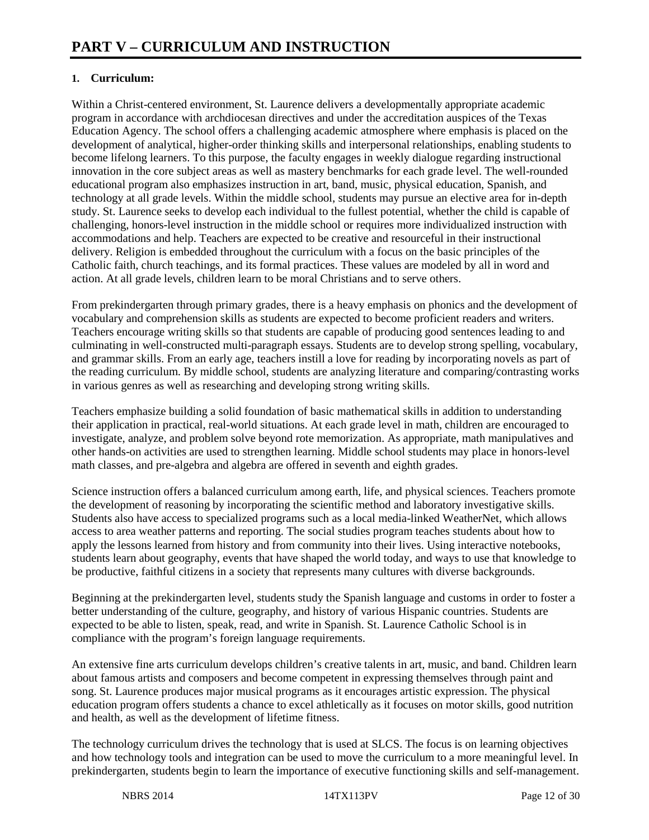# **1. Curriculum:**

Within a Christ-centered environment, St. Laurence delivers a developmentally appropriate academic program in accordance with archdiocesan directives and under the accreditation auspices of the Texas Education Agency. The school offers a challenging academic atmosphere where emphasis is placed on the development of analytical, higher-order thinking skills and interpersonal relationships, enabling students to become lifelong learners. To this purpose, the faculty engages in weekly dialogue regarding instructional innovation in the core subject areas as well as mastery benchmarks for each grade level. The well-rounded educational program also emphasizes instruction in art, band, music, physical education, Spanish, and technology at all grade levels. Within the middle school, students may pursue an elective area for in-depth study. St. Laurence seeks to develop each individual to the fullest potential, whether the child is capable of challenging, honors-level instruction in the middle school or requires more individualized instruction with accommodations and help. Teachers are expected to be creative and resourceful in their instructional delivery. Religion is embedded throughout the curriculum with a focus on the basic principles of the Catholic faith, church teachings, and its formal practices. These values are modeled by all in word and action. At all grade levels, children learn to be moral Christians and to serve others.

From prekindergarten through primary grades, there is a heavy emphasis on phonics and the development of vocabulary and comprehension skills as students are expected to become proficient readers and writers. Teachers encourage writing skills so that students are capable of producing good sentences leading to and culminating in well-constructed multi-paragraph essays. Students are to develop strong spelling, vocabulary, and grammar skills. From an early age, teachers instill a love for reading by incorporating novels as part of the reading curriculum. By middle school, students are analyzing literature and comparing/contrasting works in various genres as well as researching and developing strong writing skills.

Teachers emphasize building a solid foundation of basic mathematical skills in addition to understanding their application in practical, real-world situations. At each grade level in math, children are encouraged to investigate, analyze, and problem solve beyond rote memorization. As appropriate, math manipulatives and other hands-on activities are used to strengthen learning. Middle school students may place in honors-level math classes, and pre-algebra and algebra are offered in seventh and eighth grades.

Science instruction offers a balanced curriculum among earth, life, and physical sciences. Teachers promote the development of reasoning by incorporating the scientific method and laboratory investigative skills. Students also have access to specialized programs such as a local media-linked WeatherNet, which allows access to area weather patterns and reporting. The social studies program teaches students about how to apply the lessons learned from history and from community into their lives. Using interactive notebooks, students learn about geography, events that have shaped the world today, and ways to use that knowledge to be productive, faithful citizens in a society that represents many cultures with diverse backgrounds.

Beginning at the prekindergarten level, students study the Spanish language and customs in order to foster a better understanding of the culture, geography, and history of various Hispanic countries. Students are expected to be able to listen, speak, read, and write in Spanish. St. Laurence Catholic School is in compliance with the program's foreign language requirements.

An extensive fine arts curriculum develops children's creative talents in art, music, and band. Children learn about famous artists and composers and become competent in expressing themselves through paint and song. St. Laurence produces major musical programs as it encourages artistic expression. The physical education program offers students a chance to excel athletically as it focuses on motor skills, good nutrition and health, as well as the development of lifetime fitness.

The technology curriculum drives the technology that is used at SLCS. The focus is on learning objectives and how technology tools and integration can be used to move the curriculum to a more meaningful level. In prekindergarten, students begin to learn the importance of executive functioning skills and self-management.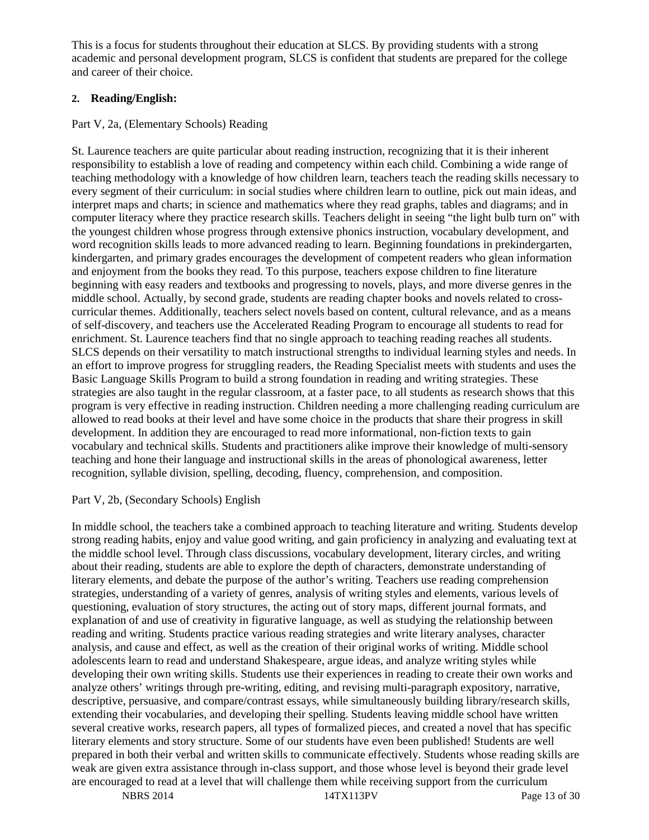This is a focus for students throughout their education at SLCS. By providing students with a strong academic and personal development program, SLCS is confident that students are prepared for the college and career of their choice.

# **2. Reading/English:**

# Part V, 2a, (Elementary Schools) Reading

St. Laurence teachers are quite particular about reading instruction, recognizing that it is their inherent responsibility to establish a love of reading and competency within each child. Combining a wide range of teaching methodology with a knowledge of how children learn, teachers teach the reading skills necessary to every segment of their curriculum: in social studies where children learn to outline, pick out main ideas, and interpret maps and charts; in science and mathematics where they read graphs, tables and diagrams; and in computer literacy where they practice research skills. Teachers delight in seeing "the light bulb turn on" with the youngest children whose progress through extensive phonics instruction, vocabulary development, and word recognition skills leads to more advanced reading to learn. Beginning foundations in prekindergarten, kindergarten, and primary grades encourages the development of competent readers who glean information and enjoyment from the books they read. To this purpose, teachers expose children to fine literature beginning with easy readers and textbooks and progressing to novels, plays, and more diverse genres in the middle school. Actually, by second grade, students are reading chapter books and novels related to crosscurricular themes. Additionally, teachers select novels based on content, cultural relevance, and as a means of self-discovery, and teachers use the Accelerated Reading Program to encourage all students to read for enrichment. St. Laurence teachers find that no single approach to teaching reading reaches all students. SLCS depends on their versatility to match instructional strengths to individual learning styles and needs. In an effort to improve progress for struggling readers, the Reading Specialist meets with students and uses the Basic Language Skills Program to build a strong foundation in reading and writing strategies. These strategies are also taught in the regular classroom, at a faster pace, to all students as research shows that this program is very effective in reading instruction. Children needing a more challenging reading curriculum are allowed to read books at their level and have some choice in the products that share their progress in skill development. In addition they are encouraged to read more informational, non-fiction texts to gain vocabulary and technical skills. Students and practitioners alike improve their knowledge of multi-sensory teaching and hone their language and instructional skills in the areas of phonological awareness, letter recognition, syllable division, spelling, decoding, fluency, comprehension, and composition.

#### Part V, 2b, (Secondary Schools) English

In middle school, the teachers take a combined approach to teaching literature and writing. Students develop strong reading habits, enjoy and value good writing, and gain proficiency in analyzing and evaluating text at the middle school level. Through class discussions, vocabulary development, literary circles, and writing about their reading, students are able to explore the depth of characters, demonstrate understanding of literary elements, and debate the purpose of the author's writing. Teachers use reading comprehension strategies, understanding of a variety of genres, analysis of writing styles and elements, various levels of questioning, evaluation of story structures, the acting out of story maps, different journal formats, and explanation of and use of creativity in figurative language, as well as studying the relationship between reading and writing. Students practice various reading strategies and write literary analyses, character analysis, and cause and effect, as well as the creation of their original works of writing. Middle school adolescents learn to read and understand Shakespeare, argue ideas, and analyze writing styles while developing their own writing skills. Students use their experiences in reading to create their own works and analyze others' writings through pre-writing, editing, and revising multi-paragraph expository, narrative, descriptive, persuasive, and compare/contrast essays, while simultaneously building library/research skills, extending their vocabularies, and developing their spelling. Students leaving middle school have written several creative works, research papers, all types of formalized pieces, and created a novel that has specific literary elements and story structure. Some of our students have even been published! Students are well prepared in both their verbal and written skills to communicate effectively. Students whose reading skills are weak are given extra assistance through in-class support, and those whose level is beyond their grade level are encouraged to read at a level that will challenge them while receiving support from the curriculum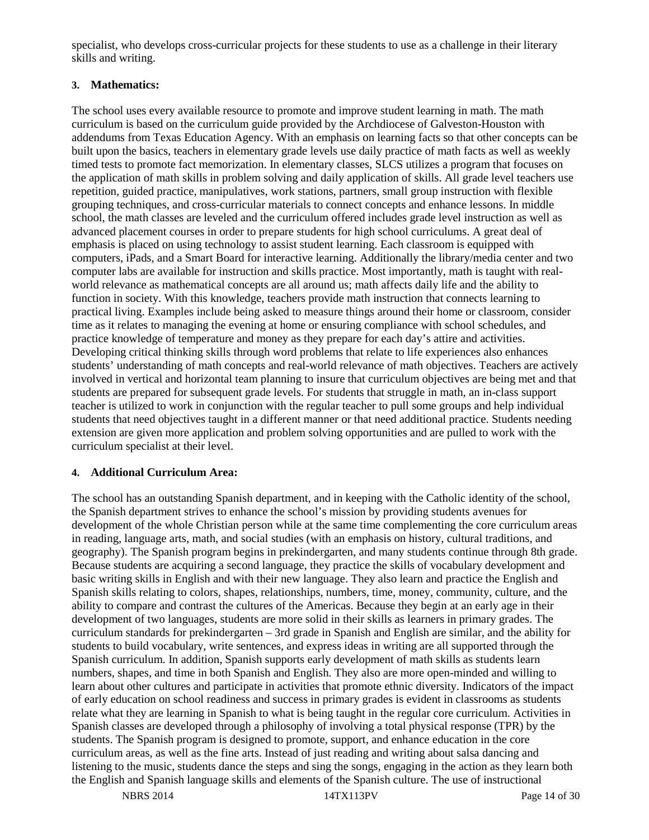specialist, who develops cross-curricular projects for these students to use as a challenge in their literary skills and writing.

# **3. Mathematics:**

The school uses every available resource to promote and improve student learning in math. The math curriculum is based on the curriculum guide provided by the Archdiocese of Galveston-Houston with addendums from Texas Education Agency. With an emphasis on learning facts so that other concepts can be built upon the basics, teachers in elementary grade levels use daily practice of math facts as well as weekly timed tests to promote fact memorization. In elementary classes, SLCS utilizes a program that focuses on the application of math skills in problem solving and daily application of skills. All grade level teachers use repetition, guided practice, manipulatives, work stations, partners, small group instruction with flexible grouping techniques, and cross-curricular materials to connect concepts and enhance lessons. In middle school, the math classes are leveled and the curriculum offered includes grade level instruction as well as advanced placement courses in order to prepare students for high school curriculums. A great deal of emphasis is placed on using technology to assist student learning. Each classroom is equipped with computers, iPads, and a Smart Board for interactive learning. Additionally the library/media center and two computer labs are available for instruction and skills practice. Most importantly, math is taught with realworld relevance as mathematical concepts are all around us; math affects daily life and the ability to function in society. With this knowledge, teachers provide math instruction that connects learning to practical living. Examples include being asked to measure things around their home or classroom, consider time as it relates to managing the evening at home or ensuring compliance with school schedules, and practice knowledge of temperature and money as they prepare for each day's attire and activities. Developing critical thinking skills through word problems that relate to life experiences also enhances students' understanding of math concepts and real-world relevance of math objectives. Teachers are actively involved in vertical and horizontal team planning to insure that curriculum objectives are being met and that students are prepared for subsequent grade levels. For students that struggle in math, an in-class support teacher is utilized to work in conjunction with the regular teacher to pull some groups and help individual students that need objectives taught in a different manner or that need additional practice. Students needing extension are given more application and problem solving opportunities and are pulled to work with the curriculum specialist at their level.

# **4. Additional Curriculum Area:**

The school has an outstanding Spanish department, and in keeping with the Catholic identity of the school, the Spanish department strives to enhance the school's mission by providing students avenues for development of the whole Christian person while at the same time complementing the core curriculum areas in reading, language arts, math, and social studies (with an emphasis on history, cultural traditions, and geography). The Spanish program begins in prekindergarten, and many students continue through 8th grade. Because students are acquiring a second language, they practice the skills of vocabulary development and basic writing skills in English and with their new language. They also learn and practice the English and Spanish skills relating to colors, shapes, relationships, numbers, time, money, community, culture, and the ability to compare and contrast the cultures of the Americas. Because they begin at an early age in their development of two languages, students are more solid in their skills as learners in primary grades. The curriculum standards for prekindergarten – 3rd grade in Spanish and English are similar, and the ability for students to build vocabulary, write sentences, and express ideas in writing are all supported through the Spanish curriculum. In addition, Spanish supports early development of math skills as students learn numbers, shapes, and time in both Spanish and English. They also are more open-minded and willing to learn about other cultures and participate in activities that promote ethnic diversity. Indicators of the impact of early education on school readiness and success in primary grades is evident in classrooms as students relate what they are learning in Spanish to what is being taught in the regular core curriculum. Activities in Spanish classes are developed through a philosophy of involving a total physical response (TPR) by the students. The Spanish program is designed to promote, support, and enhance education in the core curriculum areas, as well as the fine arts. Instead of just reading and writing about salsa dancing and listening to the music, students dance the steps and sing the songs, engaging in the action as they learn both the English and Spanish language skills and elements of the Spanish culture. The use of instructional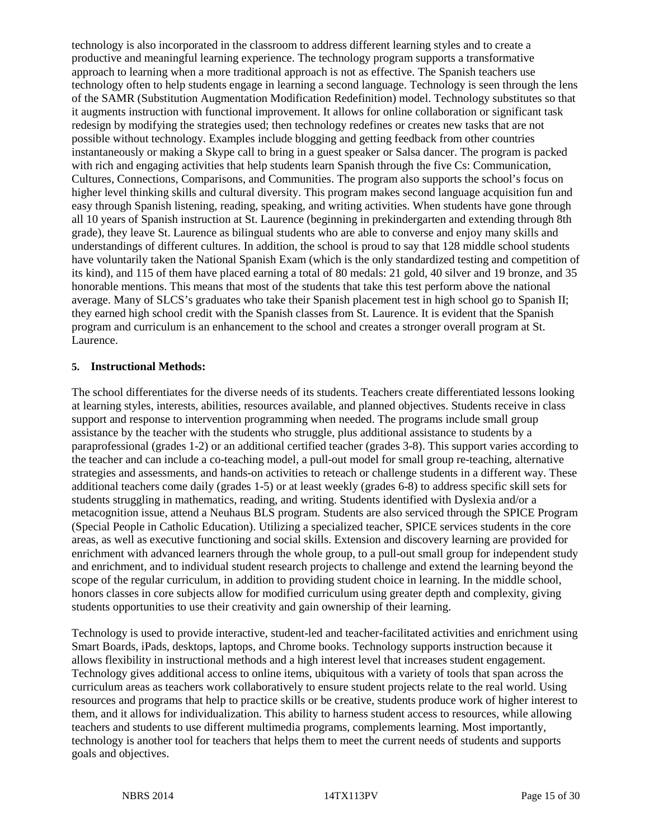technology is also incorporated in the classroom to address different learning styles and to create a productive and meaningful learning experience. The technology program supports a transformative approach to learning when a more traditional approach is not as effective. The Spanish teachers use technology often to help students engage in learning a second language. Technology is seen through the lens of the SAMR (Substitution Augmentation Modification Redefinition) model. Technology substitutes so that it augments instruction with functional improvement. It allows for online collaboration or significant task redesign by modifying the strategies used; then technology redefines or creates new tasks that are not possible without technology. Examples include blogging and getting feedback from other countries instantaneously or making a Skype call to bring in a guest speaker or Salsa dancer. The program is packed with rich and engaging activities that help students learn Spanish through the five Cs: Communication, Cultures, Connections, Comparisons, and Communities. The program also supports the school's focus on higher level thinking skills and cultural diversity. This program makes second language acquisition fun and easy through Spanish listening, reading, speaking, and writing activities. When students have gone through all 10 years of Spanish instruction at St. Laurence (beginning in prekindergarten and extending through 8th grade), they leave St. Laurence as bilingual students who are able to converse and enjoy many skills and understandings of different cultures. In addition, the school is proud to say that 128 middle school students have voluntarily taken the National Spanish Exam (which is the only standardized testing and competition of its kind), and 115 of them have placed earning a total of 80 medals: 21 gold, 40 silver and 19 bronze, and 35 honorable mentions. This means that most of the students that take this test perform above the national average. Many of SLCS's graduates who take their Spanish placement test in high school go to Spanish II; they earned high school credit with the Spanish classes from St. Laurence. It is evident that the Spanish program and curriculum is an enhancement to the school and creates a stronger overall program at St. Laurence.

#### **5. Instructional Methods:**

The school differentiates for the diverse needs of its students. Teachers create differentiated lessons looking at learning styles, interests, abilities, resources available, and planned objectives. Students receive in class support and response to intervention programming when needed. The programs include small group assistance by the teacher with the students who struggle, plus additional assistance to students by a paraprofessional (grades 1-2) or an additional certified teacher (grades 3-8). This support varies according to the teacher and can include a co-teaching model, a pull-out model for small group re-teaching, alternative strategies and assessments, and hands-on activities to reteach or challenge students in a different way. These additional teachers come daily (grades 1-5) or at least weekly (grades 6-8) to address specific skill sets for students struggling in mathematics, reading, and writing. Students identified with Dyslexia and/or a metacognition issue, attend a Neuhaus BLS program. Students are also serviced through the SPICE Program (Special People in Catholic Education). Utilizing a specialized teacher, SPICE services students in the core areas, as well as executive functioning and social skills. Extension and discovery learning are provided for enrichment with advanced learners through the whole group, to a pull-out small group for independent study and enrichment, and to individual student research projects to challenge and extend the learning beyond the scope of the regular curriculum, in addition to providing student choice in learning. In the middle school, honors classes in core subjects allow for modified curriculum using greater depth and complexity, giving students opportunities to use their creativity and gain ownership of their learning.

Technology is used to provide interactive, student-led and teacher-facilitated activities and enrichment using Smart Boards, iPads, desktops, laptops, and Chrome books. Technology supports instruction because it allows flexibility in instructional methods and a high interest level that increases student engagement. Technology gives additional access to online items, ubiquitous with a variety of tools that span across the curriculum areas as teachers work collaboratively to ensure student projects relate to the real world. Using resources and programs that help to practice skills or be creative, students produce work of higher interest to them, and it allows for individualization. This ability to harness student access to resources, while allowing teachers and students to use different multimedia programs, complements learning. Most importantly, technology is another tool for teachers that helps them to meet the current needs of students and supports goals and objectives.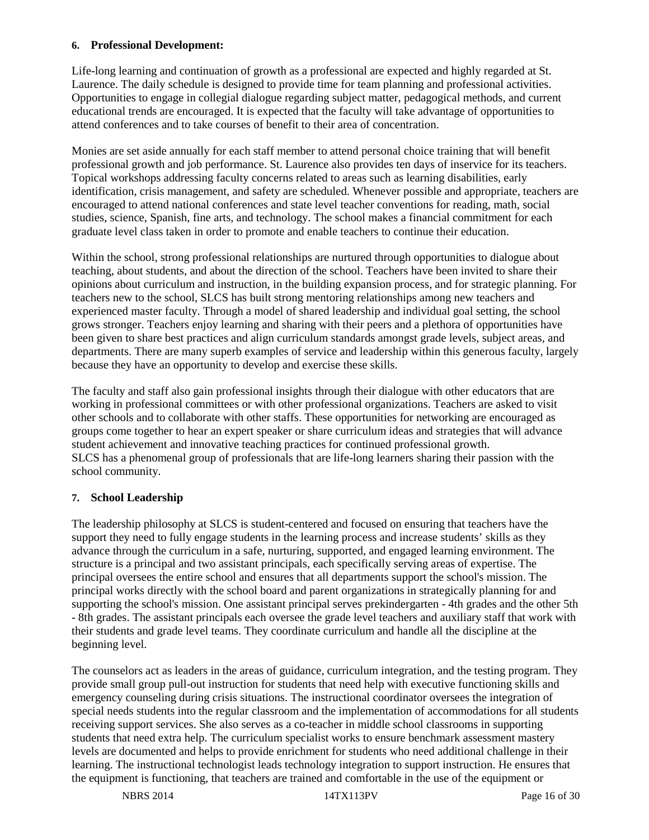#### **6. Professional Development:**

Life-long learning and continuation of growth as a professional are expected and highly regarded at St. Laurence. The daily schedule is designed to provide time for team planning and professional activities. Opportunities to engage in collegial dialogue regarding subject matter, pedagogical methods, and current educational trends are encouraged. It is expected that the faculty will take advantage of opportunities to attend conferences and to take courses of benefit to their area of concentration.

Monies are set aside annually for each staff member to attend personal choice training that will benefit professional growth and job performance. St. Laurence also provides ten days of inservice for its teachers. Topical workshops addressing faculty concerns related to areas such as learning disabilities, early identification, crisis management, and safety are scheduled. Whenever possible and appropriate, teachers are encouraged to attend national conferences and state level teacher conventions for reading, math, social studies, science, Spanish, fine arts, and technology. The school makes a financial commitment for each graduate level class taken in order to promote and enable teachers to continue their education.

Within the school, strong professional relationships are nurtured through opportunities to dialogue about teaching, about students, and about the direction of the school. Teachers have been invited to share their opinions about curriculum and instruction, in the building expansion process, and for strategic planning. For teachers new to the school, SLCS has built strong mentoring relationships among new teachers and experienced master faculty. Through a model of shared leadership and individual goal setting, the school grows stronger. Teachers enjoy learning and sharing with their peers and a plethora of opportunities have been given to share best practices and align curriculum standards amongst grade levels, subject areas, and departments. There are many superb examples of service and leadership within this generous faculty, largely because they have an opportunity to develop and exercise these skills.

The faculty and staff also gain professional insights through their dialogue with other educators that are working in professional committees or with other professional organizations. Teachers are asked to visit other schools and to collaborate with other staffs. These opportunities for networking are encouraged as groups come together to hear an expert speaker or share curriculum ideas and strategies that will advance student achievement and innovative teaching practices for continued professional growth. SLCS has a phenomenal group of professionals that are life-long learners sharing their passion with the school community.

#### **7. School Leadership**

The leadership philosophy at SLCS is student-centered and focused on ensuring that teachers have the support they need to fully engage students in the learning process and increase students' skills as they advance through the curriculum in a safe, nurturing, supported, and engaged learning environment. The structure is a principal and two assistant principals, each specifically serving areas of expertise. The principal oversees the entire school and ensures that all departments support the school's mission. The principal works directly with the school board and parent organizations in strategically planning for and supporting the school's mission. One assistant principal serves prekindergarten - 4th grades and the other 5th - 8th grades. The assistant principals each oversee the grade level teachers and auxiliary staff that work with their students and grade level teams. They coordinate curriculum and handle all the discipline at the beginning level.

The counselors act as leaders in the areas of guidance, curriculum integration, and the testing program. They provide small group pull-out instruction for students that need help with executive functioning skills and emergency counseling during crisis situations. The instructional coordinator oversees the integration of special needs students into the regular classroom and the implementation of accommodations for all students receiving support services. She also serves as a co-teacher in middle school classrooms in supporting students that need extra help. The curriculum specialist works to ensure benchmark assessment mastery levels are documented and helps to provide enrichment for students who need additional challenge in their learning. The instructional technologist leads technology integration to support instruction. He ensures that the equipment is functioning, that teachers are trained and comfortable in the use of the equipment or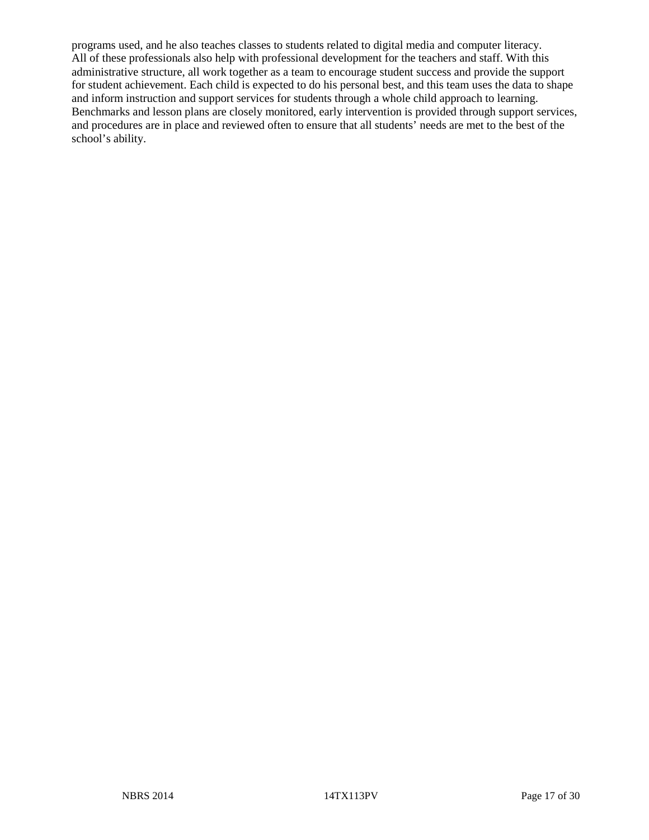programs used, and he also teaches classes to students related to digital media and computer literacy. All of these professionals also help with professional development for the teachers and staff. With this administrative structure, all work together as a team to encourage student success and provide the support for student achievement. Each child is expected to do his personal best, and this team uses the data to shape and inform instruction and support services for students through a whole child approach to learning. Benchmarks and lesson plans are closely monitored, early intervention is provided through support services, and procedures are in place and reviewed often to ensure that all students' needs are met to the best of the school's ability.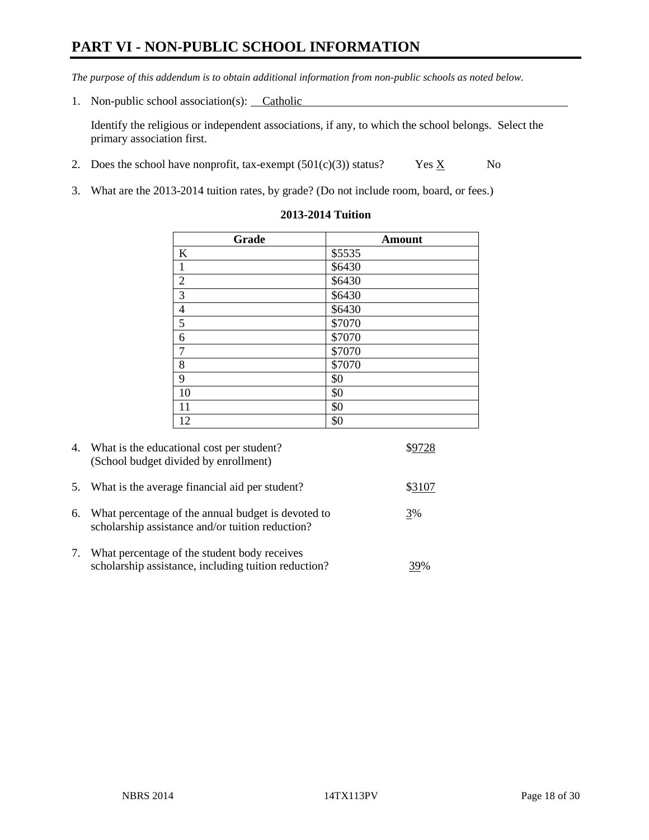# **PART VI - NON-PUBLIC SCHOOL INFORMATION**

*The purpose of this addendum is to obtain additional information from non-public schools as noted below.* 

1. Non-public school association(s): Catholic

Identify the religious or independent associations, if any, to which the school belongs. Select the primary association first.

- 2. Does the school have nonprofit, tax-exempt  $(501(c)(3))$  status? Yes  $\underline{X}$  No
- 3. What are the 2013-2014 tuition rates, by grade? (Do not include room, board, or fees.)

| Grade          | <b>Amount</b> |
|----------------|---------------|
| K              | \$5535        |
| $\mathbf{1}$   | \$6430        |
| $\overline{2}$ | \$6430        |
| $\overline{3}$ | \$6430        |
| $\overline{4}$ | \$6430        |
| $\overline{5}$ | \$7070        |
| $\sqrt{6}$     | \$7070        |
| $\overline{7}$ | \$7070        |
| 8              | \$7070        |
| 9              | \$0           |
| 10             | \$0           |
| 11             | \$0           |
| 12             | \$0           |

#### **2013-2014 Tuition**

| 4.         | What is the educational cost per student?<br>(School budget divided by enrollment)                     |        |
|------------|--------------------------------------------------------------------------------------------------------|--------|
| 5.         | What is the average financial aid per student?                                                         | \$3107 |
| 6.         | What percentage of the annual budget is devoted to<br>scholarship assistance and/or tuition reduction? | 3%     |
| $\gamma$ . | What percentage of the student body receives<br>scholarship assistance, including tuition reduction?   | 39%    |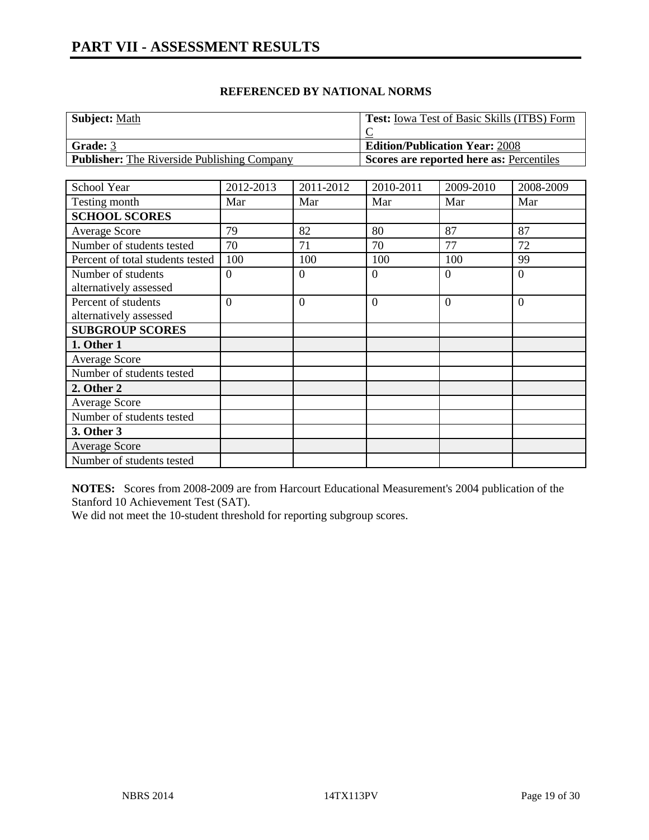| <b>Subject: Math</b>                               | <b>Test:</b> Iowa Test of Basic Skills (ITBS) Form |
|----------------------------------------------------|----------------------------------------------------|
|                                                    |                                                    |
| Grade: 3                                           | <b>Edition/Publication Year: 2008</b>              |
| <b>Publisher:</b> The Riverside Publishing Company | Scores are reported here as: Percentiles           |

| School Year                                   | 2012-2013      | 2011-2012      | 2010-2011      | 2009-2010      | 2008-2009      |
|-----------------------------------------------|----------------|----------------|----------------|----------------|----------------|
| Testing month                                 | Mar            | Mar            | Mar            | Mar            | Mar            |
| <b>SCHOOL SCORES</b>                          |                |                |                |                |                |
| Average Score                                 | 79             | 82             | 80             | 87             | 87             |
| Number of students tested                     | 70             | 71             | 70             | 77             | 72             |
| Percent of total students tested              | 100            | 100            | 100            | 100            | 99             |
| Number of students<br>alternatively assessed  | $\overline{0}$ | $\Omega$       | $\overline{0}$ | $\Omega$       | $\theta$       |
| Percent of students<br>alternatively assessed | $\overline{0}$ | $\overline{0}$ | $\overline{0}$ | $\overline{0}$ | $\overline{0}$ |
| <b>SUBGROUP SCORES</b>                        |                |                |                |                |                |
| 1. Other 1                                    |                |                |                |                |                |
| <b>Average Score</b>                          |                |                |                |                |                |
| Number of students tested                     |                |                |                |                |                |
| 2. Other 2                                    |                |                |                |                |                |
| <b>Average Score</b>                          |                |                |                |                |                |
| Number of students tested                     |                |                |                |                |                |
| 3. Other 3                                    |                |                |                |                |                |
| <b>Average Score</b>                          |                |                |                |                |                |
| Number of students tested                     |                |                |                |                |                |

**NOTES:** Scores from 2008-2009 are from Harcourt Educational Measurement's 2004 publication of the Stanford 10 Achievement Test (SAT).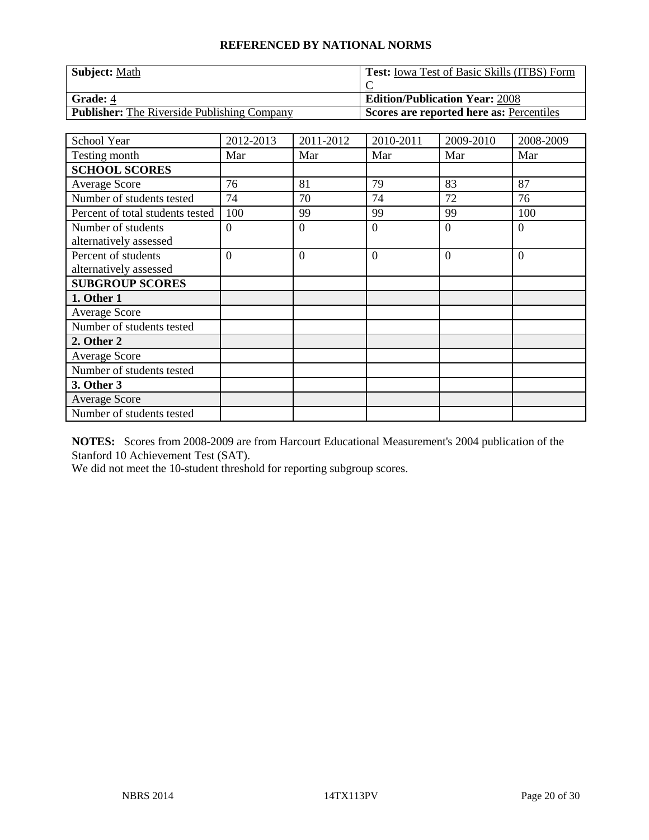| <b>Subject: Math</b>                               | <b>Test:</b> Iowa Test of Basic Skills (ITBS) Form |
|----------------------------------------------------|----------------------------------------------------|
|                                                    |                                                    |
| <b>Grade: 4</b>                                    | <b>Edition/Publication Year: 2008</b>              |
| <b>Publisher:</b> The Riverside Publishing Company | Scores are reported here as: Percentiles           |

| School Year                      | 2012-2013      | 2011-2012    | 2010-2011      | 2009-2010 | 2008-2009 |
|----------------------------------|----------------|--------------|----------------|-----------|-----------|
| Testing month                    | Mar            | Mar          | Mar            | Mar       | Mar       |
| <b>SCHOOL SCORES</b>             |                |              |                |           |           |
| Average Score                    | 76             | 81           | 79             | 83        | 87        |
| Number of students tested        | 74             | 70           | 74             | 72        | 76        |
| Percent of total students tested | 100            | 99           | 99             | 99        | 100       |
| Number of students               | $\theta$       | $\theta$     | $\theta$       | $\Omega$  | $\theta$  |
| alternatively assessed           |                |              |                |           |           |
| Percent of students              | $\overline{0}$ | $\mathbf{0}$ | $\overline{0}$ | $\Omega$  | $\theta$  |
| alternatively assessed           |                |              |                |           |           |
| <b>SUBGROUP SCORES</b>           |                |              |                |           |           |
| 1. Other 1                       |                |              |                |           |           |
| <b>Average Score</b>             |                |              |                |           |           |
| Number of students tested        |                |              |                |           |           |
| 2. Other 2                       |                |              |                |           |           |
| Average Score                    |                |              |                |           |           |
| Number of students tested        |                |              |                |           |           |
| 3. Other 3                       |                |              |                |           |           |
| <b>Average Score</b>             |                |              |                |           |           |
| Number of students tested        |                |              |                |           |           |

**NOTES:** Scores from 2008-2009 are from Harcourt Educational Measurement's 2004 publication of the Stanford 10 Achievement Test (SAT).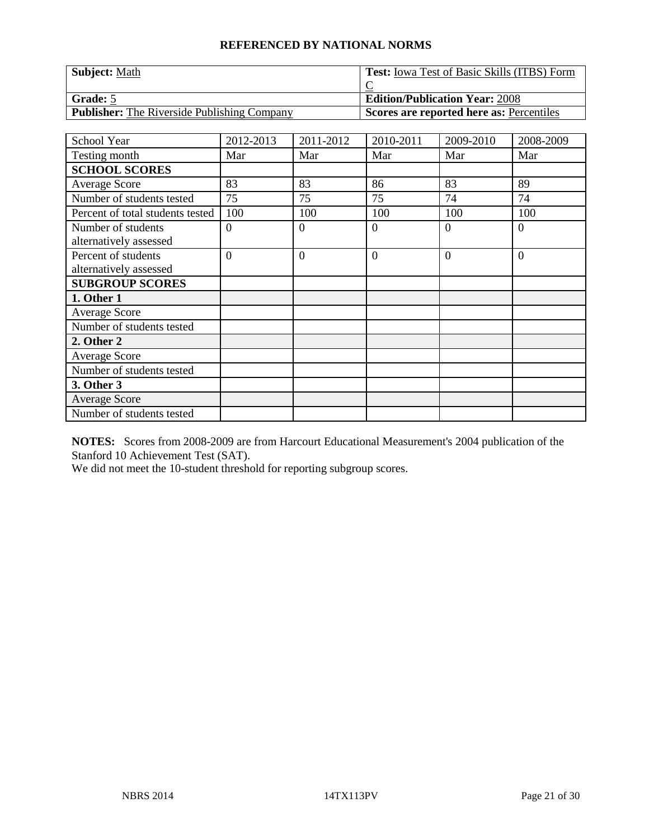| <b>Subject: Math</b>                               | <b>Test:</b> Iowa Test of Basic Skills (ITBS) Form |
|----------------------------------------------------|----------------------------------------------------|
|                                                    |                                                    |
| Grade: 5                                           | <b>Edition/Publication Year: 2008</b>              |
| <b>Publisher:</b> The Riverside Publishing Company | Scores are reported here as: Percentiles           |

| School Year                      | 2012-2013      | 2011-2012    | 2010-2011      | 2009-2010 | 2008-2009 |
|----------------------------------|----------------|--------------|----------------|-----------|-----------|
| Testing month                    | Mar            | Mar          | Mar            | Mar       | Mar       |
| <b>SCHOOL SCORES</b>             |                |              |                |           |           |
| Average Score                    | 83             | 83           | 86             | 83        | 89        |
| Number of students tested        | 75             | 75           | 75             | 74        | 74        |
| Percent of total students tested | 100            | 100          | 100            | 100       | 100       |
| Number of students               | $\theta$       | $\theta$     | $\theta$       | $\Omega$  | $\theta$  |
| alternatively assessed           |                |              |                |           |           |
| Percent of students              | $\overline{0}$ | $\mathbf{0}$ | $\overline{0}$ | $\Omega$  | $\theta$  |
| alternatively assessed           |                |              |                |           |           |
| <b>SUBGROUP SCORES</b>           |                |              |                |           |           |
| 1. Other 1                       |                |              |                |           |           |
| <b>Average Score</b>             |                |              |                |           |           |
| Number of students tested        |                |              |                |           |           |
| 2. Other 2                       |                |              |                |           |           |
| Average Score                    |                |              |                |           |           |
| Number of students tested        |                |              |                |           |           |
| 3. Other 3                       |                |              |                |           |           |
| <b>Average Score</b>             |                |              |                |           |           |
| Number of students tested        |                |              |                |           |           |

**NOTES:** Scores from 2008-2009 are from Harcourt Educational Measurement's 2004 publication of the Stanford 10 Achievement Test (SAT).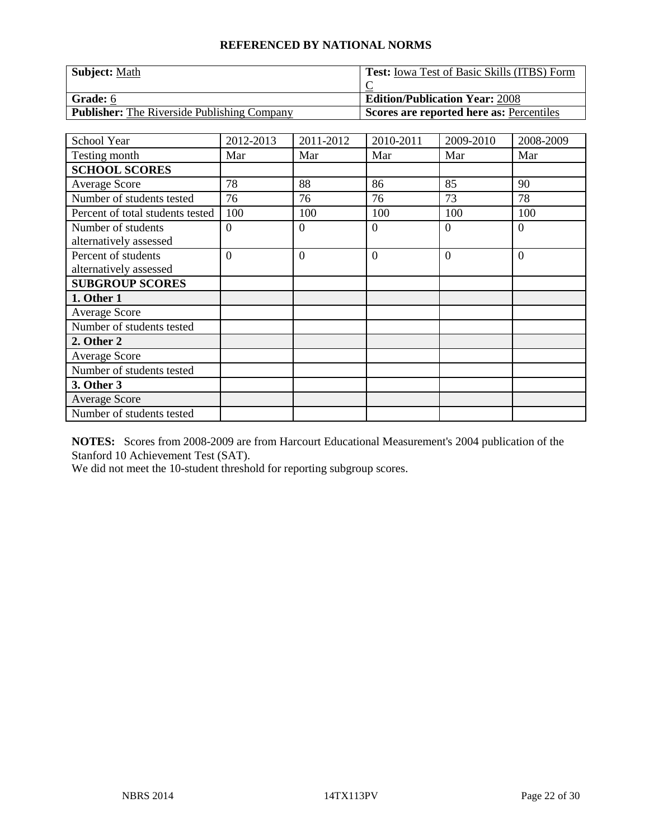| <b>Subject: Math</b>                               | <b>Test:</b> Iowa Test of Basic Skills (ITBS) Form |
|----------------------------------------------------|----------------------------------------------------|
|                                                    |                                                    |
| <b>Grade:</b> 6                                    | <b>Edition/Publication Year: 2008</b>              |
| <b>Publisher:</b> The Riverside Publishing Company | Scores are reported here as: Percentiles           |

| School Year                      | 2012-2013      | 2011-2012      | 2010-2011 | 2009-2010 | 2008-2009      |
|----------------------------------|----------------|----------------|-----------|-----------|----------------|
| Testing month                    | Mar            | Mar            | Mar       | Mar       | Mar            |
| <b>SCHOOL SCORES</b>             |                |                |           |           |                |
| Average Score                    | 78             | 88             | 86        | 85        | 90             |
| Number of students tested        | 76             | 76             | 76        | 73        | 78             |
| Percent of total students tested | 100            | 100            | 100       | 100       | 100            |
| Number of students               | $\theta$       | $\theta$       | $\theta$  | $\Omega$  | $\theta$       |
| alternatively assessed           |                |                |           |           |                |
| Percent of students              | $\overline{0}$ | $\overline{0}$ | $\theta$  | $\Omega$  | $\overline{0}$ |
| alternatively assessed           |                |                |           |           |                |
| <b>SUBGROUP SCORES</b>           |                |                |           |           |                |
| 1. Other 1                       |                |                |           |           |                |
| <b>Average Score</b>             |                |                |           |           |                |
| Number of students tested        |                |                |           |           |                |
| 2. Other 2                       |                |                |           |           |                |
| Average Score                    |                |                |           |           |                |
| Number of students tested        |                |                |           |           |                |
| 3. Other 3                       |                |                |           |           |                |
| <b>Average Score</b>             |                |                |           |           |                |
| Number of students tested        |                |                |           |           |                |

**NOTES:** Scores from 2008-2009 are from Harcourt Educational Measurement's 2004 publication of the Stanford 10 Achievement Test (SAT).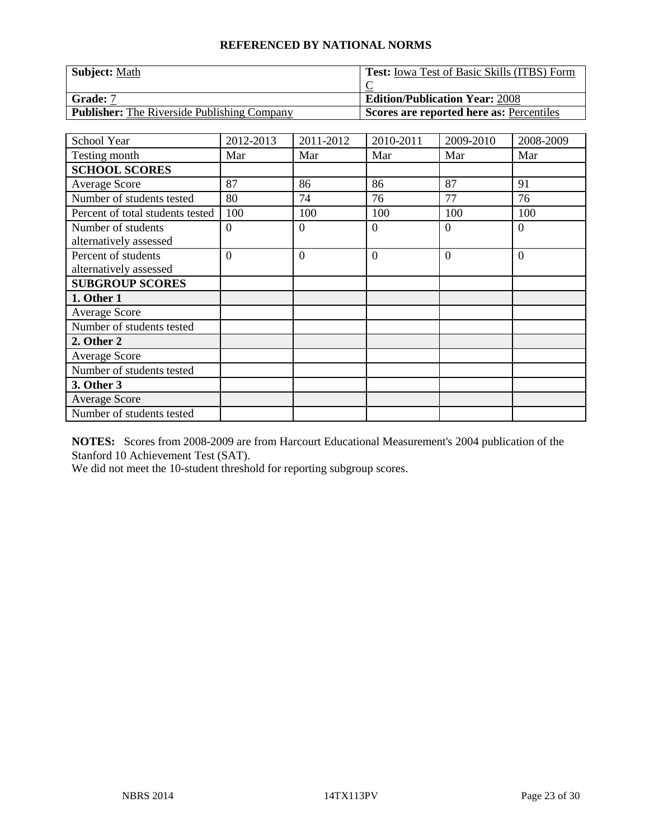| <b>Subject: Math</b>                               | <b>Test:</b> Iowa Test of Basic Skills (ITBS) Form |
|----------------------------------------------------|----------------------------------------------------|
|                                                    |                                                    |
| <b>Grade:</b> 7                                    | <b>Edition/Publication Year: 2008</b>              |
| <b>Publisher:</b> The Riverside Publishing Company | Scores are reported here as: Percentiles           |

| School Year                      | 2012-2013      | 2011-2012      | 2010-2011 | 2009-2010 | 2008-2009      |
|----------------------------------|----------------|----------------|-----------|-----------|----------------|
| Testing month                    | Mar            | Mar            | Mar       | Mar       | Mar            |
| <b>SCHOOL SCORES</b>             |                |                |           |           |                |
| Average Score                    | 87             | 86             | 86        | 87        | 91             |
| Number of students tested        | 80             | 74             | 76        | 77        | 76             |
| Percent of total students tested | 100            | 100            | 100       | 100       | 100            |
| Number of students               | $\theta$       | $\theta$       | $\theta$  | $\Omega$  | $\theta$       |
| alternatively assessed           |                |                |           |           |                |
| Percent of students              | $\overline{0}$ | $\overline{0}$ | $\theta$  | $\Omega$  | $\overline{0}$ |
| alternatively assessed           |                |                |           |           |                |
| <b>SUBGROUP SCORES</b>           |                |                |           |           |                |
| 1. Other 1                       |                |                |           |           |                |
| <b>Average Score</b>             |                |                |           |           |                |
| Number of students tested        |                |                |           |           |                |
| 2. Other 2                       |                |                |           |           |                |
| Average Score                    |                |                |           |           |                |
| Number of students tested        |                |                |           |           |                |
| 3. Other 3                       |                |                |           |           |                |
| <b>Average Score</b>             |                |                |           |           |                |
| Number of students tested        |                |                |           |           |                |

**NOTES:** Scores from 2008-2009 are from Harcourt Educational Measurement's 2004 publication of the Stanford 10 Achievement Test (SAT).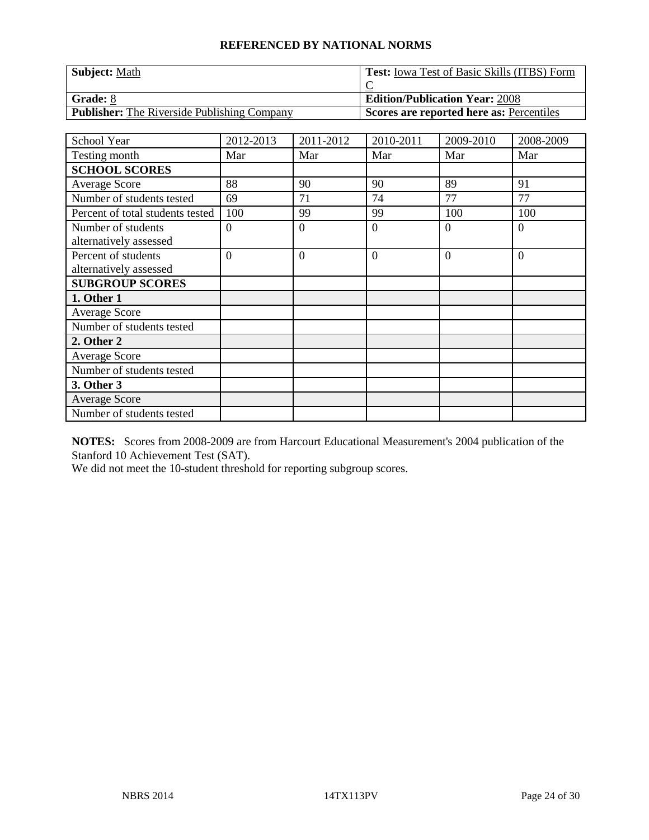| <b>Subject: Math</b>                               | <b>Test:</b> Iowa Test of Basic Skills (ITBS) Form |
|----------------------------------------------------|----------------------------------------------------|
|                                                    |                                                    |
| Grade: 8                                           | <b>Edition/Publication Year: 2008</b>              |
| <b>Publisher:</b> The Riverside Publishing Company | Scores are reported here as: Percentiles           |

| School Year                      | 2012-2013      | 2011-2012    | 2010-2011      | 2009-2010 | 2008-2009 |
|----------------------------------|----------------|--------------|----------------|-----------|-----------|
| Testing month                    | Mar            | Mar          | Mar            | Mar       | Mar       |
| <b>SCHOOL SCORES</b>             |                |              |                |           |           |
| Average Score                    | 88             | 90           | 90             | 89        | 91        |
| Number of students tested        | 69             | 71           | 74             | 77        | 77        |
| Percent of total students tested | 100            | 99           | 99             | 100       | 100       |
| Number of students               | $\theta$       | $\theta$     | $\theta$       | $\Omega$  | $\theta$  |
| alternatively assessed           |                |              |                |           |           |
| Percent of students              | $\overline{0}$ | $\mathbf{0}$ | $\overline{0}$ | $\Omega$  | $\theta$  |
| alternatively assessed           |                |              |                |           |           |
| <b>SUBGROUP SCORES</b>           |                |              |                |           |           |
| 1. Other 1                       |                |              |                |           |           |
| <b>Average Score</b>             |                |              |                |           |           |
| Number of students tested        |                |              |                |           |           |
| 2. Other 2                       |                |              |                |           |           |
| Average Score                    |                |              |                |           |           |
| Number of students tested        |                |              |                |           |           |
| 3. Other 3                       |                |              |                |           |           |
| <b>Average Score</b>             |                |              |                |           |           |
| Number of students tested        |                |              |                |           |           |

**NOTES:** Scores from 2008-2009 are from Harcourt Educational Measurement's 2004 publication of the Stanford 10 Achievement Test (SAT).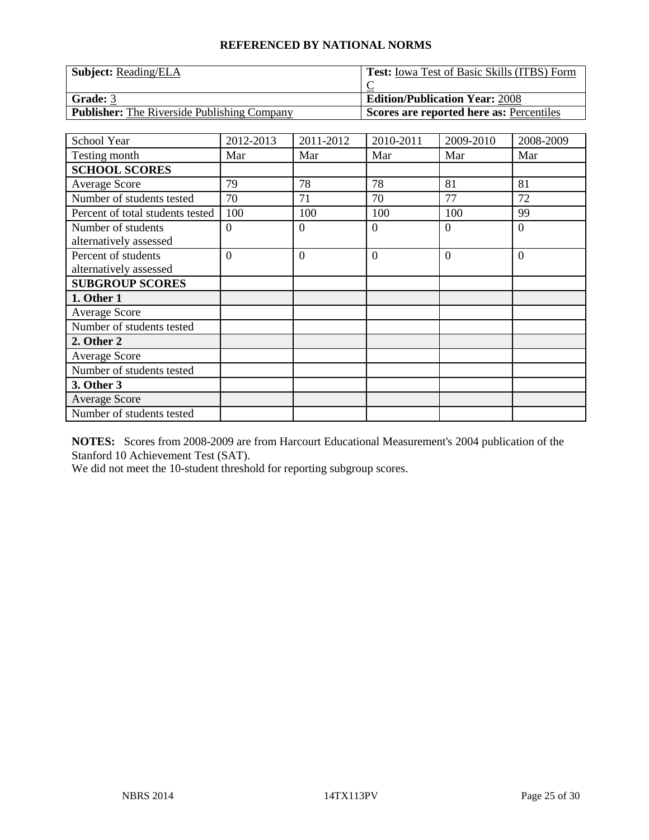| <b>Subject:</b> Reading/ELA                        | <b>Test:</b> Iowa Test of Basic Skills (ITBS) Form |
|----------------------------------------------------|----------------------------------------------------|
|                                                    |                                                    |
| <b>Grade: 3</b>                                    | <b>Edition/Publication Year: 2008</b>              |
| <b>Publisher:</b> The Riverside Publishing Company | Scores are reported here as: Percentiles           |

| School Year                      | 2012-2013      | 2011-2012    | 2010-2011      | 2009-2010 | 2008-2009      |
|----------------------------------|----------------|--------------|----------------|-----------|----------------|
| Testing month                    | Mar            | Mar          | Mar            | Mar       | Mar            |
| <b>SCHOOL SCORES</b>             |                |              |                |           |                |
| <b>Average Score</b>             | 79             | 78           | 78             | 81        | 81             |
| Number of students tested        | 70             | 71           | 70             | 77        | 72             |
| Percent of total students tested | 100            | 100          | 100            | 100       | 99             |
| Number of students               | $\theta$       | $\theta$     | $\theta$       | $\Omega$  | $\theta$       |
| alternatively assessed           |                |              |                |           |                |
| Percent of students              | $\overline{0}$ | $\mathbf{0}$ | $\overline{0}$ | $\Omega$  | $\overline{0}$ |
| alternatively assessed           |                |              |                |           |                |
| <b>SUBGROUP SCORES</b>           |                |              |                |           |                |
| 1. Other 1                       |                |              |                |           |                |
| <b>Average Score</b>             |                |              |                |           |                |
| Number of students tested        |                |              |                |           |                |
| 2. Other 2                       |                |              |                |           |                |
| Average Score                    |                |              |                |           |                |
| Number of students tested        |                |              |                |           |                |
| 3. Other 3                       |                |              |                |           |                |
| <b>Average Score</b>             |                |              |                |           |                |
| Number of students tested        |                |              |                |           |                |

**NOTES:** Scores from 2008-2009 are from Harcourt Educational Measurement's 2004 publication of the Stanford 10 Achievement Test (SAT).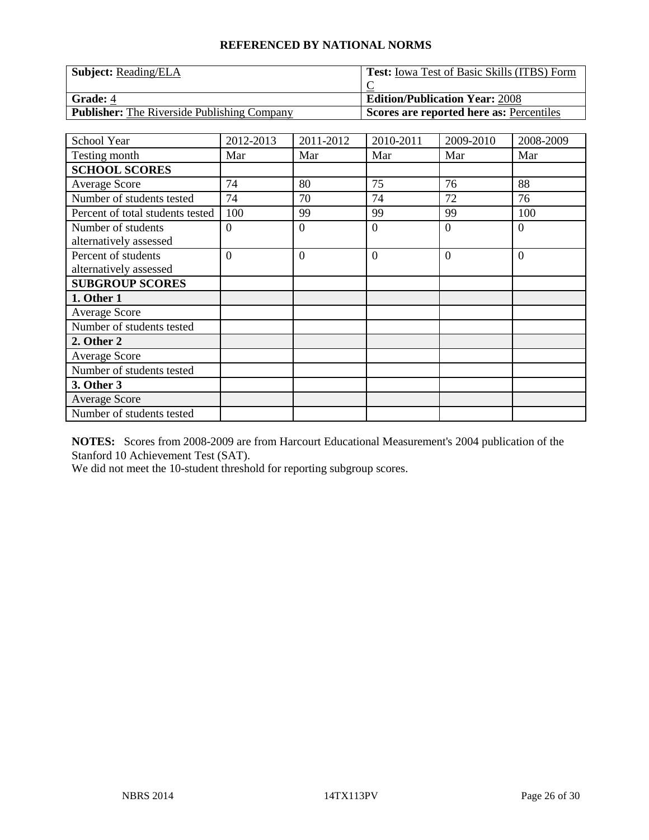| <b>Subject:</b> Reading/ELA                        | <b>Test:</b> Iowa Test of Basic Skills (ITBS) Form |
|----------------------------------------------------|----------------------------------------------------|
|                                                    |                                                    |
| <b>Grade: 4</b>                                    | <b>Edition/Publication Year: 2008</b>              |
| <b>Publisher:</b> The Riverside Publishing Company | Scores are reported here as: Percentiles           |

| School Year                      | 2012-2013      | 2011-2012      | 2010-2011      | 2009-2010 | 2008-2009      |
|----------------------------------|----------------|----------------|----------------|-----------|----------------|
| Testing month                    | Mar            | Mar            | Mar            | Mar       | Mar            |
| <b>SCHOOL SCORES</b>             |                |                |                |           |                |
| <b>Average Score</b>             | 74             | 80             | 75             | 76        | 88             |
| Number of students tested        | 74             | 70             | 74             | 72        | 76             |
| Percent of total students tested | 100            | 99             | 99             | 99        | 100            |
| Number of students               | $\theta$       | $\theta$       | $\theta$       | $\Omega$  | $\theta$       |
| alternatively assessed           |                |                |                |           |                |
| Percent of students              | $\overline{0}$ | $\overline{0}$ | $\overline{0}$ | $\Omega$  | $\overline{0}$ |
| alternatively assessed           |                |                |                |           |                |
| <b>SUBGROUP SCORES</b>           |                |                |                |           |                |
| 1. Other 1                       |                |                |                |           |                |
| <b>Average Score</b>             |                |                |                |           |                |
| Number of students tested        |                |                |                |           |                |
| 2. Other 2                       |                |                |                |           |                |
| <b>Average Score</b>             |                |                |                |           |                |
| Number of students tested        |                |                |                |           |                |
| 3. Other 3                       |                |                |                |           |                |
| <b>Average Score</b>             |                |                |                |           |                |
| Number of students tested        |                |                |                |           |                |

**NOTES:** Scores from 2008-2009 are from Harcourt Educational Measurement's 2004 publication of the Stanford 10 Achievement Test (SAT).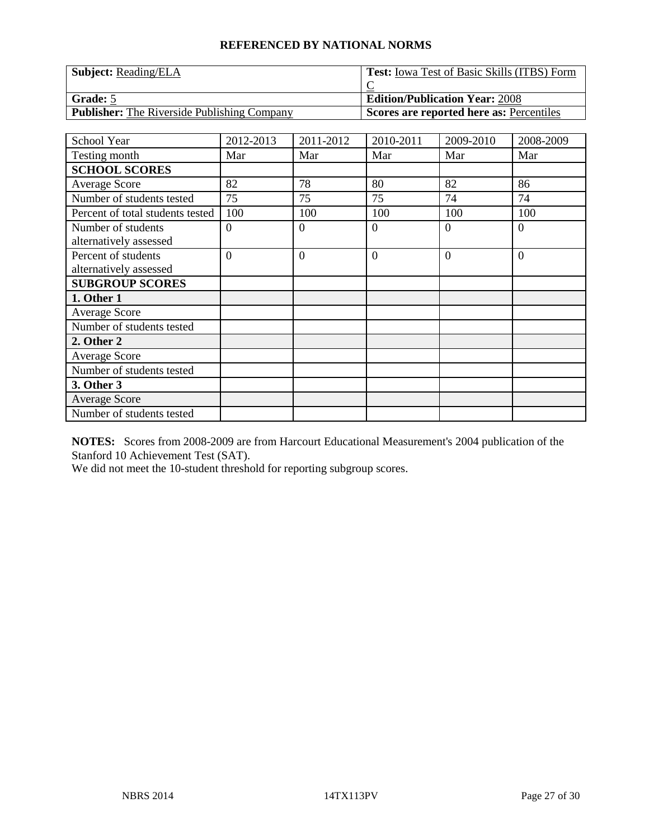| <b>Subject:</b> Reading/ELA                        | <b>Test:</b> Iowa Test of Basic Skills (ITBS) Form |
|----------------------------------------------------|----------------------------------------------------|
|                                                    |                                                    |
| Grade: 5                                           | <b>Edition/Publication Year: 2008</b>              |
| <b>Publisher:</b> The Riverside Publishing Company | Scores are reported here as: Percentiles           |

| School Year                      | 2012-2013      | 2011-2012      | 2010-2011      | 2009-2010 | 2008-2009      |
|----------------------------------|----------------|----------------|----------------|-----------|----------------|
| Testing month                    | Mar            | Mar            | Mar            | Mar       | Mar            |
| <b>SCHOOL SCORES</b>             |                |                |                |           |                |
| <b>Average Score</b>             | 82             | 78             | 80             | 82        | 86             |
| Number of students tested        | 75             | 75             | 75             | 74        | 74             |
| Percent of total students tested | 100            | 100            | 100            | 100       | 100            |
| Number of students               | $\theta$       | $\theta$       | $\theta$       | $\Omega$  | $\theta$       |
| alternatively assessed           |                |                |                |           |                |
| Percent of students              | $\overline{0}$ | $\overline{0}$ | $\overline{0}$ | $\Omega$  | $\overline{0}$ |
| alternatively assessed           |                |                |                |           |                |
| <b>SUBGROUP SCORES</b>           |                |                |                |           |                |
| 1. Other 1                       |                |                |                |           |                |
| <b>Average Score</b>             |                |                |                |           |                |
| Number of students tested        |                |                |                |           |                |
| 2. Other 2                       |                |                |                |           |                |
| <b>Average Score</b>             |                |                |                |           |                |
| Number of students tested        |                |                |                |           |                |
| 3. Other 3                       |                |                |                |           |                |
| <b>Average Score</b>             |                |                |                |           |                |
| Number of students tested        |                |                |                |           |                |

**NOTES:** Scores from 2008-2009 are from Harcourt Educational Measurement's 2004 publication of the Stanford 10 Achievement Test (SAT).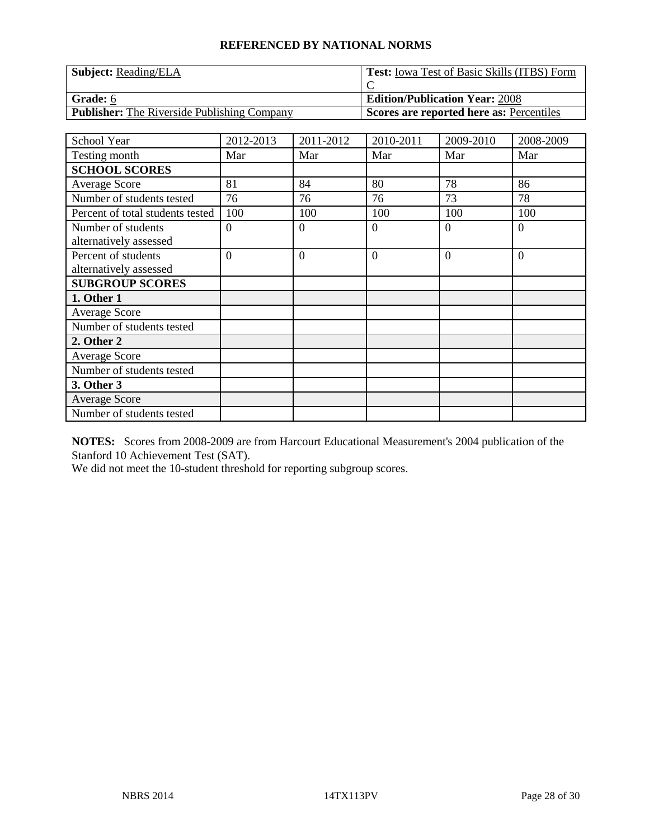| <b>Subject:</b> Reading/ELA                        | <b>Test:</b> Iowa Test of Basic Skills (ITBS) Form |
|----------------------------------------------------|----------------------------------------------------|
|                                                    |                                                    |
| <b>Grade:</b> 6                                    | <b>Edition/Publication Year: 2008</b>              |
| <b>Publisher:</b> The Riverside Publishing Company | Scores are reported here as: Percentiles           |

| School Year                      | 2012-2013      | 2011-2012      | 2010-2011      | 2009-2010 | 2008-2009 |
|----------------------------------|----------------|----------------|----------------|-----------|-----------|
| Testing month                    | Mar            | Mar            | Mar            | Mar       | Mar       |
| <b>SCHOOL SCORES</b>             |                |                |                |           |           |
| <b>Average Score</b>             | 81             | 84             | 80             | 78        | 86        |
| Number of students tested        | 76             | 76             | 76             | 73        | 78        |
| Percent of total students tested | 100            | 100            | 100            | 100       | 100       |
| Number of students               | $\theta$       | $\theta$       | $\theta$       | $\Omega$  | $\theta$  |
| alternatively assessed           |                |                |                |           |           |
| Percent of students              | $\overline{0}$ | $\overline{0}$ | $\overline{0}$ | $\Omega$  | $\theta$  |
| alternatively assessed           |                |                |                |           |           |
| <b>SUBGROUP SCORES</b>           |                |                |                |           |           |
| 1. Other 1                       |                |                |                |           |           |
| <b>Average Score</b>             |                |                |                |           |           |
| Number of students tested        |                |                |                |           |           |
| 2. Other 2                       |                |                |                |           |           |
| <b>Average Score</b>             |                |                |                |           |           |
| Number of students tested        |                |                |                |           |           |
| 3. Other 3                       |                |                |                |           |           |
| <b>Average Score</b>             |                |                |                |           |           |
| Number of students tested        |                |                |                |           |           |

**NOTES:** Scores from 2008-2009 are from Harcourt Educational Measurement's 2004 publication of the Stanford 10 Achievement Test (SAT).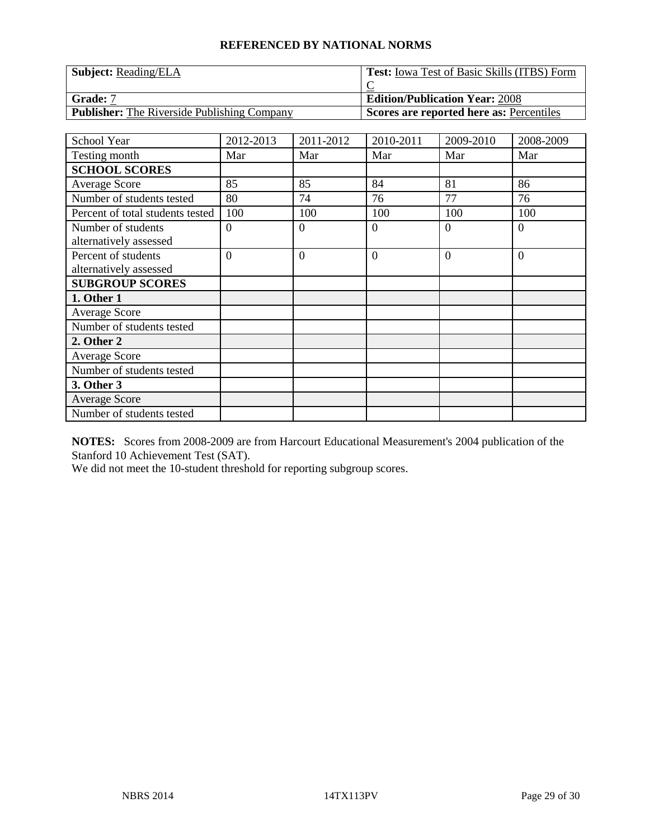| <b>Subject:</b> Reading/ELA                        | <b>Test:</b> Iowa Test of Basic Skills (ITBS) Form |
|----------------------------------------------------|----------------------------------------------------|
|                                                    |                                                    |
| <b>Grade:</b> 7                                    | <b>Edition/Publication Year: 2008</b>              |
| <b>Publisher:</b> The Riverside Publishing Company | Scores are reported here as: Percentiles           |

| School Year                      | 2012-2013      | 2011-2012      | 2010-2011      | 2009-2010 | 2008-2009      |
|----------------------------------|----------------|----------------|----------------|-----------|----------------|
| Testing month                    | Mar            | Mar            | Mar            | Mar       | Mar            |
| <b>SCHOOL SCORES</b>             |                |                |                |           |                |
| <b>Average Score</b>             | 85             | 85             | 84             | 81        | 86             |
| Number of students tested        | 80             | 74             | 76             | 77        | 76             |
| Percent of total students tested | 100            | 100            | 100            | 100       | 100            |
| Number of students               | $\theta$       | $\theta$       | $\theta$       | $\Omega$  | $\theta$       |
| alternatively assessed           |                |                |                |           |                |
| Percent of students              | $\overline{0}$ | $\overline{0}$ | $\overline{0}$ | $\Omega$  | $\overline{0}$ |
| alternatively assessed           |                |                |                |           |                |
| <b>SUBGROUP SCORES</b>           |                |                |                |           |                |
| 1. Other 1                       |                |                |                |           |                |
| <b>Average Score</b>             |                |                |                |           |                |
| Number of students tested        |                |                |                |           |                |
| 2. Other 2                       |                |                |                |           |                |
| <b>Average Score</b>             |                |                |                |           |                |
| Number of students tested        |                |                |                |           |                |
| 3. Other 3                       |                |                |                |           |                |
| <b>Average Score</b>             |                |                |                |           |                |
| Number of students tested        |                |                |                |           |                |

**NOTES:** Scores from 2008-2009 are from Harcourt Educational Measurement's 2004 publication of the Stanford 10 Achievement Test (SAT).